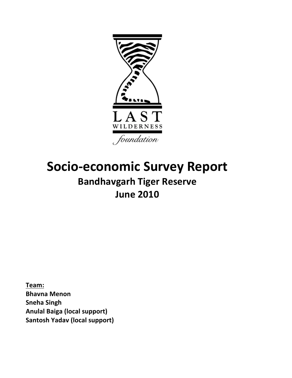

# **Socio-economic Survey Report Bandhavgarh Tiger Reserve June!2010**

**Team:! Bhavna!Menon Sneha Singh Anulal!Baiga!(local!support) Santosh Yadav (local support)**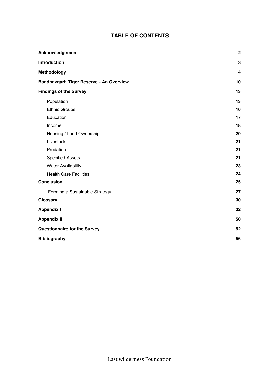# **TABLE OF CONTENTS**

| Acknowledgement                         | $\mathbf 2$ |
|-----------------------------------------|-------------|
| Introduction                            | 3           |
| <b>Methodology</b>                      | 4           |
| Bandhavgarh Tiger Reserve - An Overview | 10          |
| <b>Findings of the Survey</b>           | 13          |
| Population                              | 13          |
| <b>Ethnic Groups</b>                    | 16          |
| Education                               | 17          |
| Income                                  | 18          |
| Housing / Land Ownership                | 20          |
| Livestock                               | 21          |
| Predation                               | 21          |
| <b>Specified Assets</b>                 | 21          |
| <b>Water Availability</b>               | 23          |
| <b>Health Care Facilities</b>           | 24          |
| <b>Conclusion</b>                       | 25          |
| Forming a Sustainable Strategy          | 27          |
| Glossary                                | 30          |
| <b>Appendix I</b>                       | 32          |
| <b>Appendix II</b>                      | 50          |
| <b>Questionnaire for the Survey</b>     | 52          |
| <b>Bibliography</b>                     | 56          |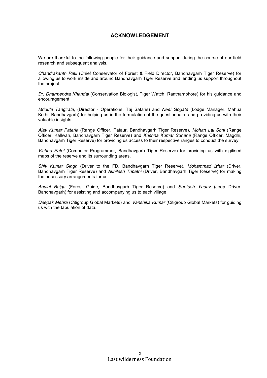# **ACKNOWLEDGEMENT**

We are thankful to the following people for their guidance and support during the course of our field research and subsequent analysis.

*Chandrakanth Patil* (Chief Conservator of Forest & Field Director, Bandhavgarh Tiger Reserve) for allowing us to work inside and around Bandhavgarh Tiger Reserve and lending us support throughout the project.

*Dr. Dharmendra Khandal* (Conservation Biologist, Tiger Watch, Ranthambhore) for his guidance and encouragement.

*Mridula Tangirala*, (Director - Operations, Taj Safaris) and *Neel Gogate* (Lodge Manager, Mahua Kothi, Bandhavgarh) for helping us in the formulation of the questionnaire and providing us with their valuable insights.

*Ajay Kumar Pateria* (Range Officer, Pataur, Bandhavgarh Tiger Reserve), *Mohan Lal Soni* (Range Officer, Kallwah, Bandhavgarh Tiger Reserve) and *Krishna Kumar Suhane* (Range Officer, Magdhi, Bandhavgarh Tiger Reserve) for providing us access to their respective ranges to conduct the survey.

*Vishnu Patel* (Computer Programmer, Bandhavgarh Tiger Reserve) for providing us with digitised maps of the reserve and its surrounding areas.

*Shiv Kumar Singh* (Driver to the FD, Bandhavgarh Tiger Reserve), *Mohammad Izhar* (Driver, Bandhavgarh Tiger Reserve) and *Akhilesh Tripathi* (Driver, Bandhavgarh Tiger Reserve) for making the necessary arrangements for us.

*Anulal Baiga* (Forest Guide, Bandhavgarh Tiger Reserve) and *Santosh Yadav* (Jeep Driver, Bandhavgarh) for assisting and accompanying us to each village.

*Deepak Mehra* (Citigroup Global Markets) and *Vanshika Kumar* (Citigroup Global Markets) for guiding us with the tabulation of data.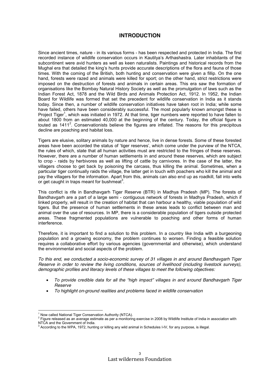# **INTRODUCTION**

Since ancient times, nature - in its various forms - has been respected and protected in India. The first recorded instance of wildlife conservation occurs in Kautilya's Arthashastra. Later inhabitants of the subcontinent were avid hunters as well as keen naturalists. Paintings and historical records from the Mughal era that detailed the king's hunts provide accurate descriptions of the flora and fauna of those times. With the coming of the British, both hunting and conservation were given a fillip. On the one hand, forests were razed and animals were killed for sport; on the other hand, strict restrictions were imposed on the destruction of forests and animals in certain areas. This era saw the formation of organisations like the Bombay Natural History Society as well as the promulgation of laws such as the Indian Forest Act, 1878 and the Wild Birds and Animals Protection Act, 1912. In 1952, the Indian Board for Wildlife was formed that set the precedent for wildlife conservation in India as it stands today. Since then, a number of wildlife conservation initiatives have taken root in India; while some have failed, others have been considerably successful. The most popularly known amongst these is Project Tiger<sup>1</sup>, which was initiated in 1972. At that time, tiger numbers were reported to have fallen to about 1800 from an estimated 40,000 at the beginning of the century. Today, the official figure is touted as  $1411<sup>2</sup>$ . Conservationists believe the figures are inflated. The reasons for this precipitous decline are poaching and habitat loss.

Tigers are elusive, solitary animals by nature and hence, live in dense forests. Some of these forested areas have been accorded the status of 'tiger reserves', which come under the purview of the NTCA, the rules of which, state that all human activities must are restricted to the fringes of these reserves. However, there are a number of human settlements in and around these reserves, which are subject to crop - raids by herbivores as well as lifting of cattle by carnivores. In the case of the latter, the villagers choose to get back by poisoning the carcass, thus killing the animal. Sometimes, when a particular tiger continually raids the village, the latter get in touch with poachers who kill the animal and pay the villagers for the information. Apart from this, animals can also end up as roadkill, fall into wells or get caught in traps meant for bushmeat<sup>3</sup>.

This conflict is rife in Bandhavgarh Tiger Reserve (BTR) in Madhya Pradesh (MP). The forests of Bandhavgarh are a part of a large semi - contiguous network of forests in Madhya Pradesh, which if linked properly, will result in the creation of habitat that can harbour a healthy, viable population of wild tigers. But the presence of human settlements in these areas leads to conflict between man and animal over the use of resources. In MP, there is a considerable population of tigers outside protected areas. These fragmented populations are vulnerable to poaching and other forms of human interference.

Therefore, it is important to find a solution to this problem. In a country like India with a burgeoning population and a growing economy, the problem continues to worsen. Finding a feasible solution requires a collaborative effort by various agencies (governmental and otherwise), which understand the environmental and social aspects of the problem.

*To this end, we conducted a socio-economic survey of 31 villages in and around Bandhavgarh Tiger Reserve in order to review the living conditions, sources of livelihood (including livestock surveys), demographic profiles and literacy levels of these villages to meet the following objectives:*

- *To provide credible data for all the "high impact" villages in and around Bandhavgarh Tiger Reserve*
- *To highlight on-ground realities and problems faced in wildlife conservation*

 $^{\rm 1}$  Now called National Tiger Conservation Authority (NTCA).<br><sup>2</sup> Figure released as an average estimate as per a monitoring exercise in 2008 by Wildlife Institute of India in association with NTCA and the Government of India.

<sup>3</sup> According to the WPA, 1972, hunting or killing any wild animal in Schedules I-IV, for any purpose, is illegal.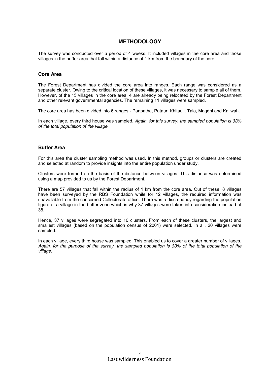# **METHODOLOGY**

The survey was conducted over a period of 4 weeks. It included villages in the core area and those villages in the buffer area that fall within a distance of 1 km from the boundary of the core.

### **Core Area**

The Forest Department has divided the core area into ranges. Each range was considered as a separate cluster. Owing to the critical location of these villages, it was necessary to sample all of them. However, of the 15 villages in the core area, 4 are already being relocated by the Forest Department and other relevant governmental agencies. The remaining 11 villages were sampled.

The core area has been divided into 6 ranges - Panpatha, Pataur, Khitauli, Tala, Magdhi and Kallwah.

In each village, every third house was sampled. *Again, for this survey, the sampled population is 33% of the total population of the village.*

### **Buffer Area**

For this area the cluster sampling method was used. In this method, groups or clusters are created and selected at random to provide insights into the entire population under study.

Clusters were formed on the basis of the distance between villages. This distance was determined using a map provided to us by the Forest Department.

There are 57 villages that fall within the radius of 1 km from the core area. Out of these, 8 villages have been surveyed by the RBS Foundation while for 12 villages, the required information was unavailable from the concerned Collectorate office. There was a discrepancy regarding the population figure of a village in the buffer zone which is why 37 villages were taken into consideration instead of 38.

Hence, 37 villages were segregated into 10 clusters. From each of these clusters, the largest and smallest villages (based on the population census of 2001) were selected. In all, 20 villages were sampled.

In each village, every third house was sampled. This enabled us to cover a greater number of villages. *Again, for the purpose of the survey, the sampled population is 33% of the total population of the village.*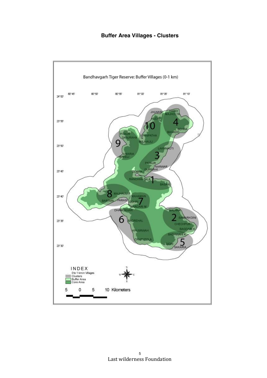**Buffer Area Villages - Clusters**

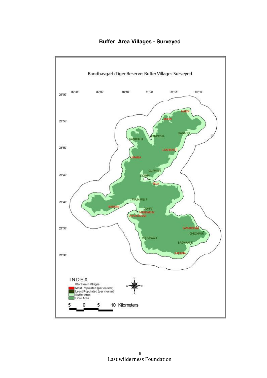

**Buffer Area Villages - Surveyed**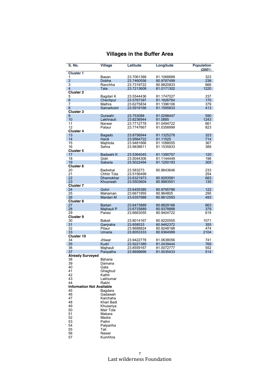| <b>Villages in the Buffer Area</b> |  |  |  |  |
|------------------------------------|--|--|--|--|
|------------------------------------|--|--|--|--|

| S. No.                           | <b>Village</b>         | Latitude                 | Longitude                | <b>Population</b><br>(2001) |
|----------------------------------|------------------------|--------------------------|--------------------------|-----------------------------|
| <b>Cluster 1</b>                 |                        |                          |                          |                             |
| 1                                | Basan                  | 23.7061388               | 81.1068889               | 323                         |
| $\overline{2}$                   | Dobha                  | 23.7460556               | 80.9787499               | 238                         |
| $\overline{3}$                   | Ranchha                | 23.7319722               | 80.9820833               | 666                         |
| $\overline{4}$                   | Tala                   | 23.7213608               | 81.0171302               | 1220                        |
| <b>Cluster 2</b>                 |                        |                          |                          | 237                         |
| 5<br>$\,6$                       | Bagdari K<br>Chechpur  | 23.5544436<br>23.5767397 | 81.1747027<br>81.1826764 | 170                         |
| $\overline{7}$                   | Malhra                 | 23.6275834               | 81.1396106               | 379                         |
| 8                                | Samarkoini             | 23.5919166               | 81.1595833               | 413                         |
| <b>Cluster 3</b>                 |                        |                          |                          |                             |
| 9                                | Gurwahi                | 23.753088                | 81.0298447               | 590                         |
| 10                               | Lakhnauti              | 23.8236944               | 81.0885                  | 1243                        |
| 11                               | Narwar                 | 23.7712778               | 81.0494722               | 661                         |
| 12                               | Pataur                 | 23.7747667               | 81.0358999               | 823                         |
| <b>Cluster 4</b>                 |                        |                          |                          |                             |
| 13                               | Bagado                 | 23.8756944               | 81.1325278               | 323                         |
| 14                               | Hardi                  | 23.9564722               | 81.11525                 | 714                         |
| 15                               | Majhtola               | 23.9481666               | 81.1088055               | 367                         |
| 16                               | Sehra                  | 23.9838611               | 81.1535833               | 389                         |
| <b>Cluster 5</b><br>17           | Badwahi K              | 23.5364045               | 81.1390757               | 120                         |
| 18                               | Gidri                  | 23.5044306               | 81.1144449               | 198                         |
| 19                               | Sakaria                | 23.5022494               | 81.1200193               | 305                         |
| <b>Cluster 6</b>                 |                        |                          |                          |                             |
| 20                               | Badrehal               | 23.583273                | 80.9643646               | 233                         |
| 21                               | Chhtn Tola             | 23.5156499               |                          | 254                         |
| 22                               | <b>Dhamokhar</b>       | 23.6321973               | 80.9293581               | 683                         |
| 23                               | Khusrwah               | 23.5503604               | 80.9883551               | 135                         |
| <b>Cluster 7</b>                 |                        |                          |                          |                             |
| 24                               | Gohri                  | 23.6455385               | 80.9795786               | 122                         |
| 25                               | Mahaman                | 23.6671955               | 80.964805                | 295                         |
| 26                               | Mardari M              | 23.6357988               | 80.9612593               | 493                         |
| <b>Cluster 8</b><br>27           | Bartari                | 23.6473889               | 80.8829166               | 663                         |
| 28                               | Majhauli P             | 23.6733889               | 80.9378888               | 379                         |
| 29                               | Parasi                 | 23.6663055               | 80.9404722               | 619                         |
| Cluster 9                        |                        |                          |                          |                             |
| 30                               | Bakeli                 | 23.8014167               | 80.9220555               | 1071                        |
| 31                               | Ganjraha               | 23.858533                | 80.9462372               | 355                         |
| 32                               | Pitaur                 | 23.8688824               | 80.9248188               | 474                         |
| 33                               | Umaria                 | 23.8053333               | 80.9364999               | 2104                        |
| Cluster 10                       |                        |                          |                          |                             |
| 34                               | Jhlwar                 | 23.9422778               | 81.0638056               | 741                         |
| 35                               | Kudri                  | 23.9221389               | 81.0439444               | 769                         |
| 36                               | Maihauli<br>Panpatha   | 23.8559167<br>23.8699666 | 81.0072777               | 552                         |
| 37<br><b>Already Surveyed</b>    |                        |                          | 81.0035433               | 514                         |
| 38                               | Bijharia               |                          |                          |                             |
| 39                               | Damana                 |                          |                          |                             |
| 40                               | Gata                   |                          |                          |                             |
| 41                               | Ghaghud                |                          |                          |                             |
| 42                               | Kathli                 |                          |                          |                             |
| 43                               | Lakhumar               |                          |                          |                             |
| 44                               | Rakhi                  |                          |                          |                             |
| <b>Information Not Available</b> |                        |                          |                          |                             |
| 45                               | Bagdara                |                          |                          |                             |
| 46                               | Gadawah                |                          |                          |                             |
| 47<br>48                         | Karchaha<br>Khari Badi |                          |                          |                             |
| 49                               | Khusariya              |                          |                          |                             |
| 50                               | Mair Tola              |                          |                          |                             |
| 51                               | Makara                 |                          |                          |                             |
| 52                               | Medra                  |                          |                          |                             |
| 53                               | Pathri                 |                          |                          |                             |
| 54                               | Patpariha              |                          |                          |                             |
| 55                               | Tali                   |                          |                          |                             |
| 56                               | Nawar                  |                          |                          |                             |
| 57                               | Kumhhra                |                          |                          |                             |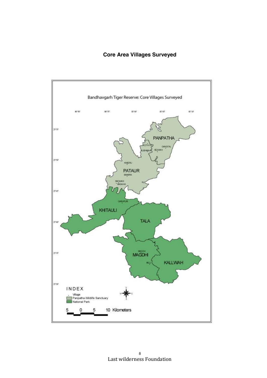# **Core Area Villages Surveyed**

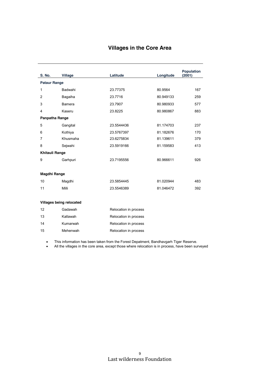# **Villages in the Core Area**

| <b>S. No.</b>       | <b>Village</b>           | Latitude              | Longitude | <b>Population</b><br>(2001) |
|---------------------|--------------------------|-----------------------|-----------|-----------------------------|
| <b>Pataur Range</b> |                          |                       |           |                             |
| 1                   | Badwahi                  | 23.77375              | 80.9564   | 167                         |
| $\overline{2}$      | Bagaiha                  | 23.7716               | 80.949133 | 259                         |
| 3                   | <b>Bamera</b>            | 23.7907               | 80.980933 | 577                         |
| 4                   | Kaseru                   | 23.8225               | 80.980867 | 883                         |
| Panpatha Range      |                          |                       |           |                             |
| 5                   | Gangital                 | 23.5544436            | 81.174703 | 237                         |
| 6                   | Kothiya                  | 23.5767397            | 81.182676 | 170                         |
| 7                   | Khusmaha                 | 23.6275834            | 81.139611 | 379                         |
| 8                   | Sejwahi                  | 23.5919166            | 81.159583 | 413                         |
| Khitauli Range      |                          |                       |           |                             |
| 9                   | Garhpuri                 | 23.7195556            | 80.966611 | 926                         |
|                     |                          |                       |           |                             |
| Magdhi Range        |                          |                       |           |                             |
| 10                  | Magdhi                   | 23.5854445            | 81.020944 | 483                         |
| 11                  | Milli                    | 23.5546389            | 81.046472 | 392                         |
|                     |                          |                       |           |                             |
|                     | Villages being relocated |                       |           |                             |
| 12                  | Gadawah                  | Relocation in process |           |                             |
| 13                  | Kallawah                 | Relocation in process |           |                             |
| 14                  | Kumarwah                 | Relocation in process |           |                             |
| 15                  | Mehenwah                 | Relocation in process |           |                             |

This information has been taken from the Forest Depatment, Bandhavgarh Tiger Reserve.

• All the villages in the core area, except those where relocation is in process, have been surveyed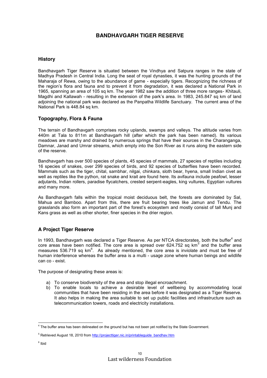# **BANDHAVGARH TIGER RESERVE**

### **History**

Bandhavgarh Tiger Reserve is situated between the Vindhya and Satpura ranges in the state of Madhya Pradesh in Central India. Long the seat of royal dynasties, it was the hunting grounds of the Maharaja of Rewa, owing to the abundance of game - especially tigers. Recognizing the richness of the region's flora and fauna and to prevent it from degradation, it was declared a National Park in 1965, spanning an area of 105 sq km. The year 1982 saw the addition of three more ranges- Khitauli, Magdhi and Kallawah - resulting in the extension of the park's area. In 1983, 245.847 sq km of land adjoining the national park was declared as the Panpatha Wildlife Sanctuary. The current area of the National Park is 448.84 sq km.

### **Topography, Flora & Fauna**

The terrain of Bandhavgarh comprises rocky uplands, swamps and valleys. The altitude varies from 440m at Tala to 811m at Bandhavgarh hill (after which the park has been named). Its various meadows are marshy and drained by numerous springs that have their sources in the Charanganga, Damnar, Janad and Umrar streams, which empty into the Son River as it runs along the eastern side of the reserve.

Bandhavgarh has over 500 species of plants, 45 species of mammals, 27 species of reptiles including 16 species of snakes, over 299 species of birds, and 92 species of butterflies have been recorded. Mammals such as the tiger, chital, sambhar, nilgai, chinkara, sloth bear, hyena, small Indian civet as well as reptiles like the python, rat snake and krait are found here. Its avifauna include peafowl, lesser adjutants, Indian rollers, paradise flycatchers, crested serpent-eagles, king vultures, Egyptian vultures and many more.

As Bandhavgarh falls within the tropical moist deciduous belt, the forests are dominated by Sal, Mahua and Bamboo. Apart from this, there are fruit bearing trees like Jamun and Tendu. The grasslands also form an important part of the forest's ecosystem and mostly consist of tall Munj and Kans grass as well as other shorter, finer species in the drier region.

# **A Project Tiger Reserve**

In 1993, Bandhavgarh was declared a Tiger Reserve. As per NTCA directorates, both the buffer<sup>4</sup> and core areas have been notified. The core area is spread over 624.752 sq km<sup>5</sup> and the buffer area measures 536.719 sq km $^{6}$ . As already mentioned, the core area is inviolate and must be free of human interference whereas the buffer area is a multi - usage zone where human beings and wildlife can co - exist.

The purpose of designating these areas is:

- a) To conserve biodiversity of the area and stop illegal encroachment.
- b) To enable locals to achieve a desirable level of wellbeing by accommodating local communities that have been residing in the area before it was designated as a Tiger Reserve. It also helps in making the area suitable to set up public facilities and infrastructure such as telecommunication towers, roads and electricity installations.

 $4$  The buffer area has been delineated on the ground but has not been yet notified by the State Government.

<sup>&</sup>lt;sup>5</sup> Retrieved August 18, 2010 from [http://projecttiger.nic.in/printableguide\\_bandhav.htm](http://projecttiger.nic.in/printableguide_bandhav.htm)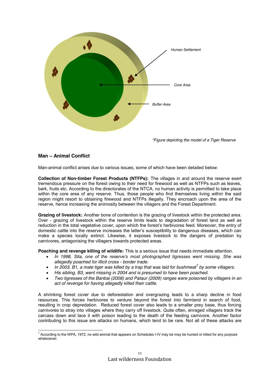

*\*Figure depicting the model of a Tiger Reserve*

# **Man – Animal Conflict**

Man-animal conflict arises due to various issues, some of which have been detailed below:

**Collection of Non-timber Forest Products (NTFPs):** The villages in and around the reserve exert tremendous pressure on the forest owing to their need for firewood as well as NTFPs such as leaves, bark, fruits etc. According to the directorates of the NTCA, no human activity is permitted to take place within the core area of any reserve. Thus, those people who find themselves living within the said region might resort to obtaining firewood and NTFPs illegally. They encroach upon the area of the reserve, hence increasing the animosity between the villagers and the Forest Department.

**Grazing of livestock:** Another bone of contention is the grazing of livestock within the protected area. Over - grazing of livestock within the reserve limits leads to degradation of forest land as well as reduction in the total vegetative cover, upon which the forest's herbivores feed. Moreover, the entry of domestic cattle into the reserve increases the latter's susceptibility to dangerous diseases, which can make a species locally extinct. Likewise, it exposes livestock to the dangers of predation by carnivores, antagonising the villagers towards protected areas.

**Poaching and revenge killing of wildlife:** This is a serious issue that needs immediate attention.

- *In 1998, Sita, one of the reserve's most photographed tigresses went missing. She was allegedly poached for illicit cross - border trade.*
- *In 2003, B1, a male tiger was killed by a trap that was laid for bushmeat<sup>7</sup> by some villagers.*
- *His sibling, B3, went missing in 2004 and is presumed to have been poached.*
- *Two tigresses of the Banbai (2008) and Pataur (2009) ranges were poisoned by villagers in an act of revenge for having allegedly killed their cattle.*

A shrinking forest cover due to deforestation and overgrazing leads to a sharp decline in food resources. This forces herbivores to venture beyond the forest into farmland in search of food, resulting in crop depredation. Reduced forest cover also leads to a smaller prey base, thus forcing carnivores to stray into villages where they carry off livestock. Quite often, enraged villagers track the carcass down and lace it with poison leading to the death of the feeding carnivore. Another factor contributing to this issue are attacks on humans, which tend to be rare. Not all of these attacks are

 $^7$  According to the WPA, 1972, no wild animal that appears on Schedules I-IV may be may be hunted or killed for any purpose whatsoever.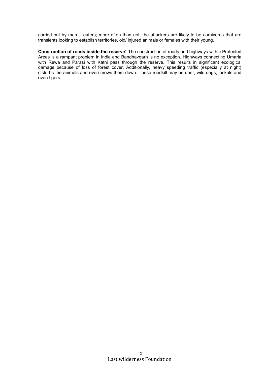carried out by man – eaters; more often than not, the attackers are likely to be carnivores that are transients looking to establish territories, old/ injured animals or females with their young.

**Construction of roads inside the reserve**: The construction of roads and highways within Protected Areas is a rampant problem in India and Bandhavgarh is no exception. Highways connecting Umaria with Rewa and Parasi with Katni pass through the reserve. This results in significant ecological damage because of loss of forest cover. Additionally, heavy speeding traffic (especially at night) disturbs the animals and even mows them down. These roadkill may be deer, wild dogs, jackals and even tigers.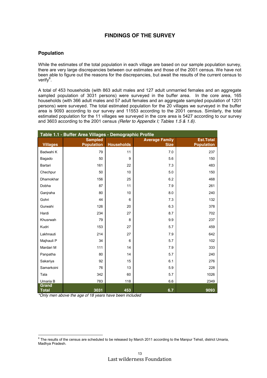# **FINDINGS OF THE SURVEY**

### **Population**

While the estimates of the total population in each village are based on our sample population survey, there are very large discrepancies between our estimates and those of the 2001 census. We have not been able to figure out the reasons for the discrepancies, but await the results of the current census to verify<sup>8</sup>.

A total of 453 households (with 863 adult males and 127 adult unmarried females and an aggregate sampled population of 3031 persons) were surveyed in the buffer area. In the core area, 165 households (with 366 adult males and 57 adult females and an aggregate sampled population of 1201 persons) were surveyed. The total estimated population for the 20 villages we surveyed in the buffer area is 9093 according to our survey and 11553 according to the 2001 census. Similarly, the total estimated population for the 11 villages we surveyed in the core area is 5427 according to our survey and 3603 according to the 2001 census *(Refer to Appendix I; Tables 1.5 & 1.6)*.

| Table 1.1 - Buffer Area Villages - Demographic Profile |                   |                   |                       |                   |  |  |  |
|--------------------------------------------------------|-------------------|-------------------|-----------------------|-------------------|--|--|--|
|                                                        | <b>Sampled</b>    |                   | <b>Average Family</b> | <b>Est.Total</b>  |  |  |  |
| <b>Villages</b>                                        | <b>Population</b> | <b>Households</b> | <b>Size</b>           | <b>Population</b> |  |  |  |
| Badwahi K                                              | 79                | 11                | 7.0                   | 237               |  |  |  |
| Bagado                                                 | 50                | 9                 | 5.6                   | 150               |  |  |  |
| Bartari                                                | 161               | 22                | 7.3                   | 483               |  |  |  |
| Chechpur                                               | 50                | 10                | 5.0                   | 150               |  |  |  |
| Dhamokhar                                              | 156               | 25                | 6.2                   | 468               |  |  |  |
| Dobha                                                  | 87                | 11                | 7.9                   | 261               |  |  |  |
| Ganjraha                                               | 80                | 10                | 8.0                   | 240               |  |  |  |
| Gohri                                                  | 44                | 6                 | 7.3                   | 132               |  |  |  |
| Gurwahi                                                | 126               | 20                | 6.3                   | 378               |  |  |  |
| Hardi                                                  | 234               | 27                | 8.7                   | 702               |  |  |  |
| Khusrwah                                               | 79                | 8                 | 9.9                   | 237               |  |  |  |
| Kudri                                                  | 153               | 27                | 5.7                   | 459               |  |  |  |
| Lakhnauti                                              | 214               | 27                | 7.9                   | 642               |  |  |  |
| Majhauli P                                             | 34                | 6                 | 5.7                   | 102               |  |  |  |
| Mardari M                                              | 111               | 14                | 7.9                   | 333               |  |  |  |
| Panpatha                                               | 80                | 14                | 5.7                   | 240               |  |  |  |
| Sakariya                                               | 92                | 15                | 6.1                   | 276               |  |  |  |
| Samarkoini                                             | 76                | 13                | 5.9                   | 228               |  |  |  |
| Tala                                                   | 342               | 60                | 5.7                   | 1026              |  |  |  |
| Umaria B                                               | 783               | 118               | 6.6                   | 2349              |  |  |  |
| Grand<br><b>Total</b>                                  | 3031              | 453               | 6.7                   | 9093              |  |  |  |

*\*Only men above the age of 18 years have been included*

 $8$  The results of the census are scheduled to be released by March 2011 according to the Manpur Tehsil, district Umaria, Madhya Pradesh.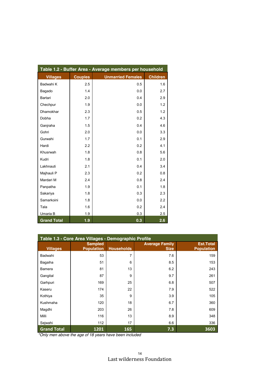| Table 1.2 - Buffer Area - Average members per household |                |                          |                 |  |  |
|---------------------------------------------------------|----------------|--------------------------|-----------------|--|--|
| <b>Villages</b>                                         | <b>Couples</b> | <b>Unmarried Females</b> | <b>Children</b> |  |  |
| Badwahi K                                               | 2.5            | 0.5                      | 1.6             |  |  |
| Bagado                                                  | 1.4            | 0.0                      | 2.7             |  |  |
| Bartari                                                 | 2.0            | 0.4                      | 2.9             |  |  |
| Chechpur                                                | 1.9            | 0.0                      | 1.2             |  |  |
| <b>Dhamokhar</b>                                        | 2.3            | 0.5                      | 1.2             |  |  |
| Dobha                                                   | 1.7            | 0.2                      | 4.3             |  |  |
| Ganjraha                                                | 1.5            | 0.4                      | 4.6             |  |  |
| Gohri                                                   | 2.0            | 0.0                      | 3.3             |  |  |
| Gurwahi                                                 | 1.7            | 0.1                      | 2.9             |  |  |
| Hardi                                                   | 2.2            | 0.2                      | 4.1             |  |  |
| Khusrwah                                                | 1.8            | 0.8                      | 5.6             |  |  |
| Kudri                                                   | 1.8            | 0.1                      | 2.0             |  |  |
| Lakhnauti                                               | 2.1            | 0.4                      | 3.4             |  |  |
| Majhauli P                                              | 2.3            | 0.2                      | 0.8             |  |  |
| Mardari M                                               | 2.4            | 0.8                      | 2.4             |  |  |
| Panpatha                                                | 1.9            | 0.1                      | 1.8             |  |  |
| Sakariya                                                | 1.8            | 0.3                      | 2.3             |  |  |
| Samarkoini                                              | 1.8            | 0.0                      | 2.2             |  |  |
| Tala                                                    | 1.6            | 0.2                      | 2.4             |  |  |
| Umaria B                                                | 1.9            | 0.3                      | 2.5             |  |  |
| <b>Grand Total</b>                                      | 1.9            | 0.3                      | 2.6             |  |  |

| Table 1.3 - Core Area Villages - Demographic Profile |                                     |                   |                                      |                                       |  |  |
|------------------------------------------------------|-------------------------------------|-------------------|--------------------------------------|---------------------------------------|--|--|
| <b>Villages</b>                                      | <b>Sampled</b><br><b>Population</b> | <b>Households</b> | <b>Average Family</b><br><b>Size</b> | <b>Est.Total</b><br><b>Population</b> |  |  |
| Badwahi                                              | 53                                  | 7                 | 7.6                                  | 159                                   |  |  |
| Bagaiha                                              | 51                                  | 6                 | 8.5                                  | 153                                   |  |  |
| Bamera                                               | 81                                  | 13                | 6.2                                  | 243                                   |  |  |
| Gangital                                             | 87                                  | 9                 | 9.7                                  | 261                                   |  |  |
| Garhpuri                                             | 169                                 | 25                | 6.8                                  | 507                                   |  |  |
| Kaseru                                               | 174                                 | 22                | 7.9                                  | 522                                   |  |  |
| Kothiya                                              | 35                                  | 9                 | 3.9                                  | 105                                   |  |  |
| Kushmaha                                             | 120                                 | 18                | 6.7                                  | 360                                   |  |  |
| Magdhi                                               | 203                                 | 26                | 7.8                                  | 609                                   |  |  |
| Milli                                                | 116                                 | 13                | 8.9                                  | 348                                   |  |  |
| Sejwahi                                              | 112                                 | 17                | 6.6                                  | 336                                   |  |  |
| <b>Grand Total</b>                                   | 1201                                | 165               | 7.3                                  | 3603                                  |  |  |

*\*Only men above the age of 18 years have been included*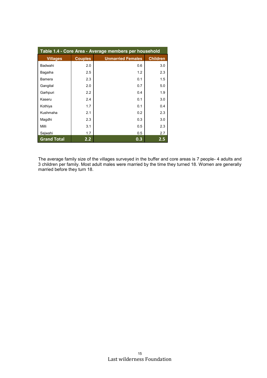| Table 1.4 - Core Area - Average members per household |                |                          |                 |  |  |
|-------------------------------------------------------|----------------|--------------------------|-----------------|--|--|
| <b>Villages</b>                                       | <b>Couples</b> | <b>Unmarried Females</b> | <b>Children</b> |  |  |
| Badwahi                                               | 2.0            | 0.6                      | 3.0             |  |  |
| Bagaiha                                               | 2.5            | 1.2                      | 2.3             |  |  |
| Bamera                                                | 2.3            | 0.1                      | 1.5             |  |  |
| Gangital                                              | 2.0            | 0.7                      | 5.0             |  |  |
| Garhpuri                                              | 2.2            | 0.4                      | 1.9             |  |  |
| Kaseru                                                | 2.4            | 0.1                      | 3.0             |  |  |
| Kothiya                                               | 1.7            | 0.1                      | 0.4             |  |  |
| Kushmaha                                              | 2.1            | 0.2                      | 2.3             |  |  |
| Magdhi                                                | 2.3            | 0.3                      | 3.0             |  |  |
| Milli                                                 | 3.1            | 0.5                      | 2.3             |  |  |
| Sejwahi                                               | 1.7            | 0.5                      | 2.7             |  |  |
| <b>Grand Total</b>                                    | 2.2            | 0.3                      | $2.5\,$         |  |  |

The average family size of the villages surveyed in the buffer and core areas is 7 people- 4 adults and 3 children per family. Most adult males were married by the time they turned 18. Women are generally married before they turn 18.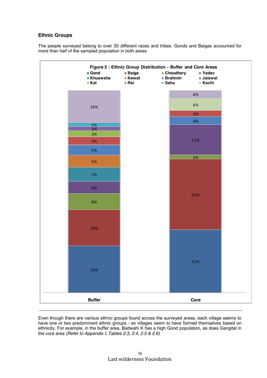# **Ethnic Groups**

The people surveyed belong to over 30 different races and tribes. Gonds and Baigas accounted for more than half of the sampled population in both areas.



Even though there are various ethnic groups found across the surveyed areas, each village seems to have one or two predominant ethnic groups - so villages seem to have formed themselves based on ethnicity. For example, in the buffer area, Badwahi K has a high Gond population, as does Gangital in the core area *(Refer to Appendix I; Tables 2.3, 2.4, 2.5 & 2.6)*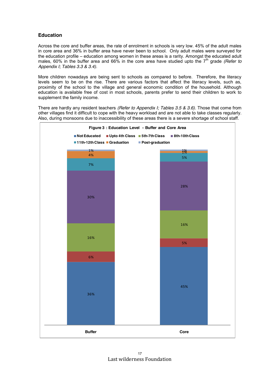# **Education**

Across the core and buffer areas, the rate of enrolment in schools is very low. 45% of the adult males in core area and 36% in buffer area have never been to school. Only adult males were surveyed for the education profile – education among women in these areas is a rarity. Amongst the educated adult males, 60% in the buffer area and 66% in the core area have studied upto the 7<sup>th</sup> grade *(Refer to Appendix I; Tables 3.3 & 3.4)*.

More children nowadays are being sent to schools as compared to before. Therefore, the literacy levels seem to be on the rise. There are various factors that affect the literacy levels, such as, proximity of the school to the village and general economic condition of the household. Although education is available free of cost in most schools, parents prefer to send their children to work to supplement the family income.

There are hardly any resident teachers *(Refer to Appendix I; Tables 3.5 & 3.6)*. Those that come from other villages find it difficult to cope with the heavy workload and are not able to take classes regularly. Also, during monsoons due to inaccessibility of these areas there is a severe shortage of school staff.

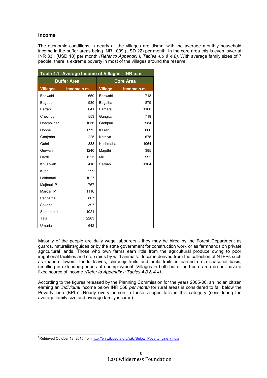### **Income**

The economic conditions in nearly all the villages are dismal with the average monthly household income in the buffer areas being INR 1009 (USD 22) per month. In the core area this is even lower at INR 831 (USD 18) per month *(Refer to Appendix I; Tables 4.5 & 4.6)*. With average family sizes of 7 people, there is extreme poverty in most of the villages around the reserve.

| Table 4.1 - Average Income of Villages - INR p.m. |                    |                  |             |  |  |  |
|---------------------------------------------------|--------------------|------------------|-------------|--|--|--|
|                                                   | <b>Buffer Area</b> | <b>Core Area</b> |             |  |  |  |
| <b>Villages</b>                                   | Income p.m.        | <b>Village</b>   | Income p.m. |  |  |  |
| Badwahi                                           | 659                | Badwahi          | 718         |  |  |  |
| Bagado                                            | 930                | Bagaiha          | 879         |  |  |  |
| Bartari                                           | 641                | Bamera           | 1108        |  |  |  |
| Chechpur                                          | 553                | Gangital         | 719         |  |  |  |
| Dhamokhar                                         | 1056               | Garhpuri         | 984         |  |  |  |
| Dobha                                             | 1772               | Kaseru           | 660         |  |  |  |
| Ganjraha                                          | 225                | Kothiya          | 675         |  |  |  |
| Gohri                                             | 833                | Kushmaha         | 1064        |  |  |  |
| Gurwahi                                           | 1240               | Magdhi           | 385         |  |  |  |
| Hardi                                             | 1225               | Milli            | 992         |  |  |  |
| Khusrwah                                          | 416                | Sejwahi          | 1104        |  |  |  |
| Kudri                                             | 599                |                  |             |  |  |  |
| Lakhnauti                                         | 1027               |                  |             |  |  |  |
| Majhauli P                                        | 767                |                  |             |  |  |  |
| Mardari M                                         | 1116               |                  |             |  |  |  |
| Panpatha                                          | 807                |                  |             |  |  |  |
| Sakaria                                           | 397                |                  |             |  |  |  |
| Samarkoini                                        | 1021               |                  |             |  |  |  |
| Tala                                              | 2283               |                  |             |  |  |  |
| Umaria                                            | 642                |                  |             |  |  |  |

Majority of the people are daily wage labourers - they may be hired by the Forest Department as guards, naturalists/guides or by the state government for construction work or as farmhands on private agricultural lands. Those who own farms earn little from the agricultural produce owing to poor irrigational facilities and crop raids by wild animals. Income derived from the collection of NTFPs such as mahua flowers, tendu leaves, chiraunji fruits and amla fruits is earned on a seasonal basis, resulting in extended periods of unemployment. Villages in both buffer and core area do not have a fixed source of income *(Refer to Appendix I; Tables 4.3 & 4.4)*.

According to the figures released by the Planning Commission for the years 2005-06, an Indian citizen earning an *individual* income below INR 368 *per month* for rural areas is considered to fall below the Poverty Line (BPL)<sup>9</sup>. Nearly every person in these villages falls in this category (considering the average family size and average family income).

<sup>-&</sup>lt;br>9 <sup>9</sup>Retrieved October 13, 2010 fro[m http://en.wikipedia.org/wiki/Below\\_Poverty\\_Line\\_\(India\)](http://en.wikipedia.org/wiki/Below_Poverty_Line_(India)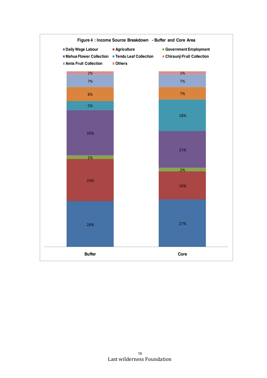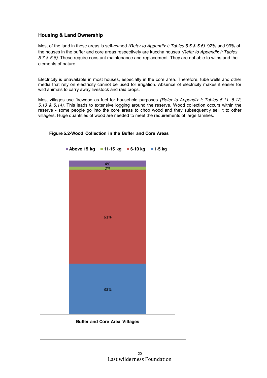# **Housing & Land Ownership**

Most of the land in these areas is self-owned *(Refer to Appendix I; Tables 5.5 & 5.6)*. 92% and 99% of the houses in the buffer and core areas respectively are kuccha houses *(Refer to Appendix I; Tables 5.7 & 5.8)*. These require constant maintenance and replacement. They are not able to withstand the elements of nature.

Electricity is unavailable in most houses, especially in the core area. Therefore, tube wells and other media that rely on electricity cannot be used for irrigation. Absence of electricity makes it easier for wild animals to carry away livestock and raid crops.

Most villages use firewood as fuel for household purposes *(Refer to Appendix I; Tables 5.11, 5.12, 5.13 & 5.14)*. This leads to extensive logging around the reserve. Wood collection occurs within the reserve - some people go into the core areas to chop wood and they subsequently sell it to other villagers. Huge quantities of wood are needed to meet the requirements of large families.

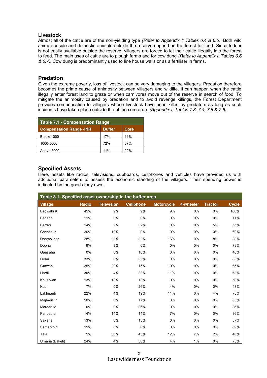### **Livestock**

Almost all of the cattle are of the non-yielding type *(Refer to Appendix I; Tables 6.4 & 6.5)*. Both wild animals inside and domestic animals outside the reserve depend on the forest for food. Since fodder is not easily available outside the reserve, villagers are forced to let their cattle illegally into the forest to feed. The main uses of cattle are to plough farms and for cow dung *(Refer to Appendix I; Tables 6.6 & 6.7)*. Cow dung is predominantly used to line house walls or as a fertiliser in farms.

# **Predation**

Given the extreme poverty, loss of livestock can be very damaging to the villagers. Predation therefore becomes the prime cause of animosity between villagers and wildlife. It can happen when the cattle illegally enter forest land to graze or when carnivores move out of the reserve in search of food. To mitigate the animosity caused by predation and to avoid revenge killings, the Forest Department provides compensation to villagers whose livestock have been killed by predators as long as such incidents have taken place outside the of the core area. *(Appendix I; Tables 7.3, 7.4, 7.5 & 7.6)*.

| <b>Table 7.1 - Compensation Range</b>                   |     |     |  |  |  |  |
|---------------------------------------------------------|-----|-----|--|--|--|--|
| <b>Compensation Range -INR</b><br><b>Buffer</b><br>Core |     |     |  |  |  |  |
| <b>Below 1000</b>                                       | 17% | 11% |  |  |  |  |
| 1000-5000                                               | 72% | 67% |  |  |  |  |
| Above 5000                                              | 11% | 22% |  |  |  |  |

# **Specified Assets**

Here, assets like radios, televisions, cupboards, cellphones and vehicles have provided us with additional parameters to assess the economic standing of the villagers. Their spending power is indicated by the goods they own.

| Table 8.1- Specified asset ownership in the buffer area |              |                   |                  |                   |           |                |              |
|---------------------------------------------------------|--------------|-------------------|------------------|-------------------|-----------|----------------|--------------|
| <b>Village</b>                                          | <b>Radio</b> | <b>Television</b> | <b>Cellphone</b> | <b>Motorcycle</b> | 4-wheeler | <b>Tractor</b> | <b>Cycle</b> |
| Badwahi K                                               | 45%          | 9%                | 9%               | 9%                | 0%        | 0%             | 100%         |
| Bagado                                                  | 11%          | 0%                | 0%               | 0%                | 0%        | 0%             | 11%          |
| Bartari                                                 | 14%          | 9%                | 32%              | 0%                | 0%        | 5%             | 55%          |
| Chechpur                                                | 20%          | 10%               | 0%               | 0%                | 0%        | 0%             | 60%          |
| Dhamokhar                                               | 28%          | 20%               | 32%              | 16%               | 0%        | 8%             | 80%          |
| Dobha                                                   | 9%           | 9%                | 0%               | 0%                | 0%        | 0%             | 73%          |
| Ganjraha                                                | 0%           | 0%                | 10%              | 0%                | 0%        | 0%             | 40%          |
| Gohri                                                   | 33%          | 0%                | 33%              | 0%                | 0%        | 0%             | 83%          |
| Gurwahi                                                 | 25%          | 20%               | 15%              | 10%               | 0%        | 0%             | 65%          |
| Hardi                                                   | 30%          | 4%                | 33%              | 11%               | 0%        | 0%             | 63%          |
| Khusrwah                                                | 13%          | 13%               | 13%              | 0%                | 0%        | 0%             | 50%          |
| Kudri                                                   | 7%           | 0%                | 26%              | 4%                | 0%        | 0%             | 48%          |
| Lakhnauti                                               | 22%          | 4%                | 19%              | 11%               | 0%        | 4%             | 78%          |
| Majhauli P                                              | 50%          | 0%                | 17%              | 0%                | 0%        | 0%             | 83%          |
| Mardari M                                               | 0%           | 0%                | 36%              | 0%                | 0%        | 0%             | 86%          |
| Panpatha                                                | 14%          | 14%               | 14%              | 7%                | 0%        | 0%             | 36%          |
| Sakaria                                                 | 13%          | 0%                | 13%              | 0%                | 0%        | 0%             | 87%          |
| Samarkoini                                              | 15%          | 8%                | 0%               | 0%                | 0%        | 0%             | 69%          |
| Tala                                                    | 5%           | 35%               | 45%              | 12%               | 7%        | 2%             | 40%          |
| Umaria (Bakeli)                                         | 24%          | 4%                | 30%              | 4%                | 1%        | 0%             | 75%          |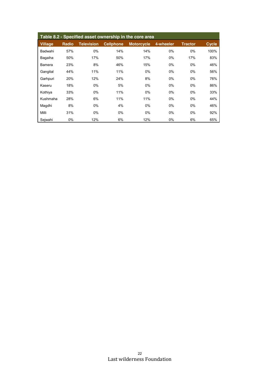| Table 8.2 - Specified asset ownership in the core area |              |                   |                  |                   |           |                |              |  |
|--------------------------------------------------------|--------------|-------------------|------------------|-------------------|-----------|----------------|--------------|--|
| <b>Village</b>                                         | <b>Radio</b> | <b>Television</b> | <b>Cellphone</b> | <b>Motorcycle</b> | 4-wheeler | <b>Tractor</b> | <b>Cycle</b> |  |
| Badwahi                                                | 57%          | 0%                | 14%              | 14%               | 0%        | 0%             | 100%         |  |
| Bagaiha                                                | 50%          | 17%               | 50%              | 17%               | 0%        | 17%            | 83%          |  |
| <b>Bamera</b>                                          | 23%          | 8%                | 46%              | 15%               | 0%        | 0%             | 46%          |  |
| Gangital                                               | 44%          | 11%               | 11%              | $0\%$             | 0%        | 0%             | 56%          |  |
| Garhpuri                                               | 20%          | 12%               | 24%              | 8%                | 0%        | 0%             | 76%          |  |
| Kaseru                                                 | 18%          | 0%                | 5%               | $0\%$             | $0\%$     | 0%             | 86%          |  |
| Kothiya                                                | 33%          | 0%                | 11%              | $0\%$             | 0%        | 0%             | 33%          |  |
| Kushmaha                                               | 28%          | 6%                | 11%              | 11%               | 0%        | 0%             | 44%          |  |
| Magdhi                                                 | 8%           | 0%                | 4%               | $0\%$             | 0%        | 0%             | 46%          |  |
| Milli                                                  | 31%          | 0%                | $0\%$            | 0%                | 0%        | 0%             | 92%          |  |
| Sejwahi                                                | 0%           | 12%               | 6%               | 12%               | 0%        | 6%             | 65%          |  |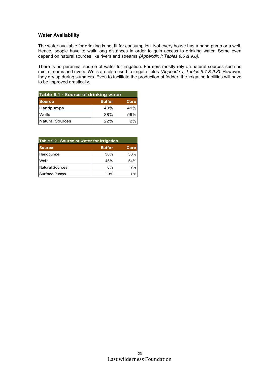# **Water Availability**

The water available for drinking is not fit for consumption. Not every house has a hand pump or a well. Hence, people have to walk long distances in order to gain access to drinking water. Some even depend on natural sources like rivers and streams *(Appendix I; Tables 9.5 & 9.6)*.

There is no perennial source of water for irrigation. Farmers mostly rely on natural sources such as rain, streams and rivers. Wells are also used to irrigate fields *(Appendix I; Tables 9.7 & 9.8)*. However, they dry up during summers. Even to facilitate the production of fodder, the irrigation facilities will have to be improved drastically.

| Table 9.1 - Source of drinking water |               |             |
|--------------------------------------|---------------|-------------|
| <b>Source</b>                        | <b>Buffer</b> | <b>Core</b> |
| Handpumps                            | 40%           | 41%         |
| Wells                                | 38%           | 56%         |
| Natural Sources                      | 22%           | 2%          |

| Table 9.2 - Source of water for irrigation |               |             |
|--------------------------------------------|---------------|-------------|
| <b>Source</b>                              | <b>Buffer</b> | <b>Core</b> |
| Handpumps                                  | 36%           | 33%         |
| Wells                                      | 45%           | 54%         |
| Natural Sources                            | 6%            | 7%          |
| Surface Pumps                              | 13%           | 6%          |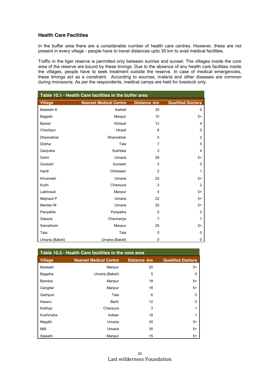### **Health Care Facilities**

In the buffer area there are a considerable number of health care centres. However, these are not present in every village - people have to travel distances upto 35 km to avail medical facilities.

Traffic in the tiger reserve is permitted only between sunrise and sunset. The villages inside the core area of the reserve are bound by these timings. Due to the absence of any health care facilities inside the villages, people have to seek treatment outside the reserve. In case of medical emergencies, these timings act as a constraint. According to sources, malaria and other diseases are common during monsoons. As per the respondents, medical camps are held for livestock only.

| Table 10.1 - Health Care facilities in the buffer area |                               |                    |                          |  |
|--------------------------------------------------------|-------------------------------|--------------------|--------------------------|--|
| <b>Village</b>                                         | <b>Nearest Medical Centre</b> | <b>Distance-km</b> | <b>Qualified Doctors</b> |  |
| Badwahi K                                              | Karkeli                       | 35                 | 0                        |  |
| Bagado                                                 | Manpur                        | 10                 | $5+$                     |  |
| Bartari                                                | Khitauli                      | 12                 | 4                        |  |
| Chechpur                                               | Hirauli                       | 8                  | 0                        |  |
| Dhamokhar                                              | Dhamokhar                     | $\mathbf 0$        | 2                        |  |
| Dobha                                                  | Tala                          | $\overline{7}$     | 0                        |  |
| Ganjraha                                               | <b>Sukhdas</b>                | 3                  | $\overline{4}$           |  |
| Gohri                                                  | Umaria                        | 28                 | $5+$                     |  |
| Gurwahi                                                | Gurwahi                       | 3                  | 0                        |  |
| Hardi                                                  | Chitrawan                     | 2                  | 1                        |  |
| Khusrwah                                               | Umaria                        | 25                 | $5+$                     |  |
| Kudri                                                  | Chansura                      | $\overline{2}$     | 2                        |  |
| Lakhnauti                                              | Manpur                        | 4                  | $5+$                     |  |
| Majhauli P                                             | Umaria                        | 22                 | $5+$                     |  |
| Mardari M                                              | Umaria                        | 25                 | $5+$                     |  |
| Panpatha                                               | Panpatha                      | $\Omega$           | 2                        |  |
| Sakaria                                                | Chechariya                    | $\overline{7}$     | 1                        |  |
| Samarkoini                                             | Manpur                        | 25                 | $5+$                     |  |
| Tala                                                   | Tala                          | 0                  | 0                        |  |
| Umaria (Bakeli)                                        | Umaria (Bakeli)               | 0                  | 0                        |  |

| Table 10.2 - Health Care facilities in the core area |                               |                    |                          |
|------------------------------------------------------|-------------------------------|--------------------|--------------------------|
| <b>Village</b>                                       | <b>Nearest Medical Centre</b> | <b>Distance-km</b> | <b>Qualified Doctors</b> |
| Badwahi                                              | Manpur                        | 20                 | $5+$                     |
| Bagaiha                                              | Umaria (Bakeli)               | 5                  | 0                        |
| Bamera                                               | Manpur                        | 18                 | $5+$                     |
| Gangital                                             | Manpur                        | 18                 | $5+$                     |
| Garhpuri                                             | Tala                          | 6                  | $\Omega$                 |
| Kaseru                                               | Barhi                         | 12                 | 0                        |
| Kothiya                                              | Chansura                      | 3                  | 1                        |
| Kushmaha                                             | Indwar                        | 18                 | 1                        |
| Magdhi                                               | Umaria                        | 30                 | $5+$                     |
| Milli                                                | Umaria                        | 35                 | $5+$                     |
| Sejwahi                                              | Manpur                        | 15                 | $5+$                     |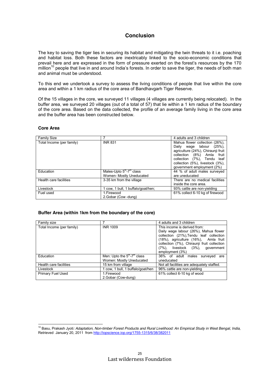# **Conclusion**

The key to saving the tiger lies in securing its habitat and mitigating the twin threats to it i.e. poaching and habitat loss. Both these factors are inextricably linked to the socio-economic conditions that prevail here and are expressed in the form of pressure exerted on the forest's resources by the 170 million<sup>10</sup> people that live in and around India's forests. In order to save the tiger, the needs of both man and animal must be understood.

To this end we undertook a survey to assess the living conditions of people that live within the core area and within a 1 km radius of the core area of Bandhavgarh Tiger Reserve.

Of the 15 villages in the core, we surveyed 11 villages (4 villages are currently being relocated). In the buffer area, we surveyed 20 villages (out of a total of 57) that lie within a 1 km radius of the boundary of the core area. Based on the data collected, the profile of an average family living in the core area and the buffer area has been constructed below.

### **Core Area**

| <b>Family Size</b>        |                                                                    | 4 adults and 3 children                                                                                                                                                                                                              |
|---------------------------|--------------------------------------------------------------------|--------------------------------------------------------------------------------------------------------------------------------------------------------------------------------------------------------------------------------------|
| Total Income (per family) | <b>INR 831</b>                                                     | Mahua flower collection (26%),<br>Daily wage labour<br>(25%)<br>agriculture (24%), Chiraunji fruit<br>collection (8%) Amla<br>fruit<br>collection (7%), Tendu leaf<br>collection (5%), livestock (3%),<br>government employment (2%) |
| Education                 | Males-Upto $5m$ -7 <sup>th</sup> class<br>Women- Mostly Uneducated | 44 % of adult males surveyed<br>are uneducated                                                                                                                                                                                       |
| Health care facilities    | 3-35 km from the village                                           | There are no medical facilities<br>inside the core area.                                                                                                                                                                             |
| Livestock                 | 1 cow, 1 bull, 1 buffalo/goat/hen;                                 | 93% cattle are non-yielding                                                                                                                                                                                                          |
| Fuel used                 | 1. Firewood<br>2. Gobar (Cow -dung)                                | 61% collect 6-10 kg of firewood                                                                                                                                                                                                      |

### **Buffer Area (within 1km from the boundary of the core)**

| Family size               |                                   | 4 adults and 3 children                     |
|---------------------------|-----------------------------------|---------------------------------------------|
| Total Income (per family) | <b>INR 1009</b>                   | This income is derived from:                |
|                           |                                   | Daily wage labour (26%), Mahua flower       |
|                           |                                   | collection (21%), Tendu leaf collection     |
|                           |                                   | (18%), agriculture (16%), Amla fruit        |
|                           |                                   | collection (7%), Chiraunji fruit collection |
|                           |                                   | (7%), livestock (3%), government            |
|                           |                                   | employment (3%)                             |
| Education                 | Men: Upto the $5th-7th$ class     | 36% of adult males surveyed<br>are          |
|                           | Women: Mostly Uneducated          | uneducated                                  |
| Health care facilities    | 15 km from village                | Not all facilities are adequately staffed.  |
| Livestock                 | 1 cow, 1 bull, 1 buffalo/goat/hen | 96% cattle are non-yielding                 |
| <b>Primary Fuel Used</b>  | 1. Firewood                       | 61% collect 6-10 kg of wood                 |
|                           | 2. Gobar (Cow-dung)               |                                             |

<sup>10</sup> Basu, Prakash Jyoti*: Adaptation, Non-timber Forest Products and Rural Livelihood: An Empirical Study in West Bengal, India,* Retrieved January 20, 2011 fro[m http://iopscience.iop.org/1755-1315/6/38/382011](http://iopscience.iop.org/1755-1315/6/38/382011)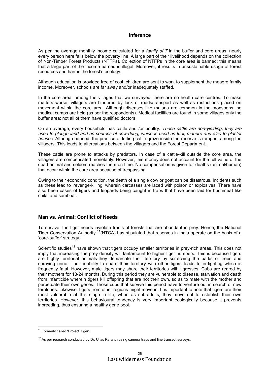### **Inference**

As per the average monthly income calculated for a *family of 7* in the buffer and core areas, nearly every person here falls below the poverty line. A large part of their livelihood depends on the collection of Non-Timber Forest Products (NTFPs). Collection of NTFPs in the core area is banned; this means that a large part of the income earned is illegal. Moreover, it results in unsustainable usage of forest resources and harms the forest's ecology.

Although education is provided free of cost, children are sent to work to supplement the meagre family income. Moreover, schools are far away and/or inadequately staffed.

In the core area, among the villages that we surveyed, there are no health care centres. To make matters worse, villagers are hindered by lack of roads/transport as well as restrictions placed on movement within the core area. Although diseases like malaria are common in the monsoons, no medical camps are held (as per the respondents). Medical facilities are found in some villages only the buffer area; not all of them have qualified doctors.

On an average, every household has cattle and /or poultry. *These cattle are non-yielding; they are used to plough land and as sources of cow-dung, which is used as fuel, manure and also to plaster houses.* Although banned, the practice of letting cattle graze inside the reserve is rampant among the villagers. This leads to altercations between the villagers and the Forest Department.

These cattle are prone to attacks by predators. In case of a cattle-kill outside the core area, the villagers are compensated monetarily. However, this money does not account for the full value of the dead animal and seldom reaches them on time. No compensation is given for deaths (animal/human) that occur within the core area because of trespassing.

Owing to their economic condition, the death of a single cow or goat can be disastrous. Incidents such as these lead to 'revenge-killing' wherein carcasses are laced with poison or explosives. There have also been cases of tigers and leopards being caught in traps that have been laid for bushmeat like chital and sambhar.

### **Man vs. Animal: Conflict of Needs**

To survive, the tiger needs inviolate tracts of forests that are abundant in prey. Hence, the National Tiger Conservation Authority  $11(NTCA)$  has stipulated that reserves in India operate on the basis of a 'core-buffer' strategy.

Scientific studies<sup>12</sup> have shown that tigers occupy smaller territories in prey-rich areas. This does not imply that increasing the prey density will tantamount to higher tiger numbers. This is because tigers are highly territorial animals-they demarcate their territory by scratching the barks of trees and spraying urine. Their inability to share their territory with other tigers leads to in-fighting which is frequently fatal. However, male tigers may share their territories with tigresses. Cubs are reared by their mothers for 18-24 months. During this period they are vulnerable to disease, starvation and death from infanticide wherein tigers kill offspring that are not their own, so as to mate with the mother and perpetuate their own genes. Those cubs that survive this period have to venture out in search of new territories. Likewise, tigers from other regions might move in. It is important to note that tigers are their most vulnerable at this stage in life, when as sub-adults, they move out to establish their own territories. However, this behavioural tendency is very important ecologically because it prevents inbreeding, thus ensuring a healthy gene pool.

<sup>&</sup>lt;sup>11</sup> Formerly called 'Project Tiger'.

 $12$  As per research conducted by Dr. Ullas Karanth using camera traps and line transect surveys.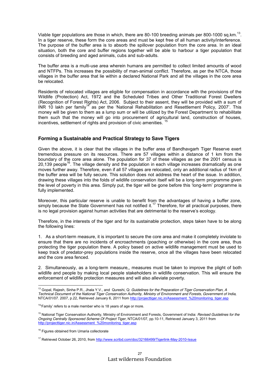Viable tiger populations are those in which, there are 80-100 breeding animals per 800-1000 sq.km.<sup>13</sup>. In a tiger reserve, these form the core areas and must be kept free of all human activity/interference. The purpose of the buffer area is to absorb the spillover population from the core area. In an ideal situation, both the core and buffer regions together will be able to harbour a tiger population that consists of breeding and aged animals, cubs and sub-adults.

The buffer area is a multi-use area wherein humans are permitted to collect limited amounts of wood and NTFPs. This increases the possibility of man-animal conflict. Therefore, as per the NTCA, those villages in the buffer area that lie within a declared National Park and all the villages in the core area be relocated.

Residents of relocated villages are eligible for compensation in accordance with the provisions of the Wildlife (Protection) Act, 1972 and the Scheduled Tribes and Other Traditional Forest Dwellers (Recognition of Forest Rights) Act, 2006. Subject to their assent, they will be provided with a sum of INR 10 lakh per family<sup>14</sup> as per the 'National Rehabilitation and Resettlement Policy, 2007'. This money will be given to them as a lump sum or will be utilized by the Forest Department to rehabilitate them such that the money will go into procurement of agricultural land, construction of houses, incentives, settlement of rights and provision of civic amenities.

# **Forming a Sustainable and Practical Strategy to Save Tigers**

Given the above, it is clear that the villages in the buffer area of Bandhavgarh Tiger Reserve exert tremendous pressure on its resources. There are 57 villages within a distance of 1 km from the boundary of the core area alone. The population for 37 of these villages as per the 2001 census is 20,139 people<sup>16</sup>. The village density and the population in each village increases dramatically as one moves further away. Therefore, even if all 57 villages are relocated, only an additional radius of 1km of the buffer area will be fully secure. This solution does not address the heart of the issue. In addition, drawing these villages into the folds of wildlife conservation itself will be a long-term programme given the level of poverty in this area. Simply put, the tiger will be gone before this 'long-term' programme is fully implemented.

Moreover, this particular reserve is unable to benefit from the advantages of having a buffer zone, simply because the State Government has not notified it.<sup>17</sup> Therefore, for all practical purposes, there is no legal provision against human activities that are detrimental to the reserve's ecology.

Therefore, in the interests of the tiger and for its sustainable protection, steps taken have to be along the following lines:

1. As a short-term measure, it is important to secure the core area and make it completely inviolate to ensure that there are no incidents of encroachments (poaching or otherwise) in the core area, thus protecting the tiger population there. A policy based on active wildlife management must be used to keep track of predator-prey populations inside the reserve, once all the villages have been relocated and the core area fenced.

2. Simultaneously, as a long-term measure,, measures must be taken to improve the plight of both wildlife and people by making local people stakeholders in wildlife conservation. This will ensure the enforcement of wildlife protection measures and will also alleviate poverty.

<sup>13</sup> Gopal, Rajesh, Sinha P.R., Jhala Y.V., and Qureshi, Q: *Guidelines for the Preparation of Tiger Conservation Plan*, *<sup>A</sup> Technical Document of the National Tiger Conservation Authority, Ministry of Environment and Forests, Government of India,*  NTCA/01/07. 2007, p.22, Retrieved January 6, 2011 from [http://projecttiger.nic.in/Assessment\\_%20monitoring\\_tiger.asp](http://projecttiger.nic.in/Assessment_%20monitoring_tiger.asp)

 $14$ <sup>4</sup> Family' refers to a male member who is 18 years of age or more.

<sup>15</sup> National Tiger Conservation Authority, Ministry of Environment and Forests, Government of India: *Revised Guidelines for the Ongoing Centrally Sponsored Scheme Of Project Tiger*, NTCA/01/07, pp.10-11, Retrieved January 3, 2011 from [http://projecttiger.nic.in/Assessment\\_%20monitoring\\_tiger.asp](http://projecttiger.nic.in/Assessment_%20monitoring_tiger.asp)

<sup>&</sup>lt;sup>16</sup> Figures obtained from Umaria collectorate

<sup>&</sup>lt;sup>17</sup> Retrieved October 26, 2010, from<http://www.scribd.com/doc/32166499/Tigerlink-May-2010-Issue>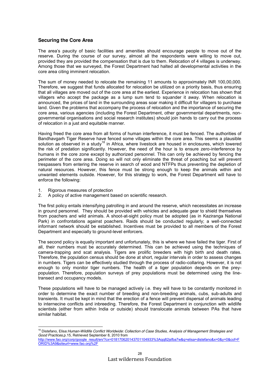### **Securing the Core Area**

The area's paucity of basic facilities and amenities should encourage people to move out of the reserve. During the course of our survey, almost all the respondents were willing to move out, provided they are provided the compensation that is due to them. Relocation of 4 villages is underway. Among those that we surveyed, the Forest Department had halted all developmental activities in the core area citing imminent relocation.

The sum of money needed to relocate the remaining 11 amounts to approximately INR 100,00,000. Therefore, we suggest that funds allocated for relocation be utilized on a priority basis, thus ensuring that all villages are moved out of the core area at the earliest. Experience in relocation has shown that villagers who accept the package as a lump sum tend to squander it away. When relocation is announced, the prices of land in the surrounding areas soar making it difficult for villagers to purchase land. Given the problems that accompany the process of relocation and the importance of securing the core area, various agencies (including the Forest Department, other governmental departments, nongovernmental organisations and social research institutes) should join hands to carry out the process of relocation in a just and equitable manner.

Having freed the core area from all forms of human interference, it must be fenced. The authorities of Bandhavgarh Tiger Reserve have fenced some villages within the core area. This seems a plausible solution as observed in a study<sup>18</sup> in Africa, where livestock are housed in enclosures, which lowered the risk of predation significantly. However, the need of the hour is to ensure zero-interference by humans in the core zone except by authorized personnel. This can only be achieved by fencing the perimeter of the core area. Doing so will not only eliminate the threat of poaching but will prevent trespassers from entering the reserve in search of wood and NTFPs thus preventing the depletion of natural resources. However, this fence must be strong enough to keep the animals within and unwanted elements outside. However, for this strategy to work, the Forest Department will have to enforce the following:

- 1. Rigorous measures of protection
- 2. A policy of active management based on scientific research.

The first policy entails intensifying patrolling in and around the reserve, which necessitates an increase in ground personnel. They should be provided with vehicles and adequate gear to shield themselves from poachers and wild animals. A shoot-at-sight policy must be adopted (as in Kaziranga National Park) in confrontations against poachers. Raids should be conducted regularly; a well-connected informant network should be established. Incentives must be provided to all members of the Forest Department and especially to ground-level enforcers.

The second policy is equally important and unfortunately, this is where we have failed the tiger. First of all, their numbers must be accurately determined. This can be achieved using the techniques of camera-trapping and scat analysis. Tigers are prolific breeders with high birth and death rates. Therefore, the population census should be done at short, regular intervals in order to assess changes in numbers. Tigers can be effectively studied through the process of radio-collaring. However, it is not enough to only monitor tiger numbers. The health of a tiger population depends on the preypopulation. Therefore, population surveys of prey populations must be determined using the linetransect and occupancy models.

These populations will have to be managed actively i.e. they will have to be constantly monitored in order to determine the exact number of breeding and non-breeding animals, cubs, sub-adults and transients. It must be kept in mind that the erection of a fence will prevent dispersal of animals leading to internecine conflicts and inbreeding. Therefore, the Forest Department in conjunction with wildlife scientists (either from within India or outside) should translocate animals between PAs that have similar habitat.

<sup>18</sup> Distefano, Elisa:*Human-Wildlife Conflict Worldwide: Collection of Case Studies, Analysis of Management Strategies and Good Practices,*p.15, Retrieved September 8, 2010 from

http://www.fao.org/corp/google\_result/en/?cx=018170620143701104933%3Aqq82jsfba7w&q=elisa+distefano&x=0&v=0&cof=F [ORID%3A9&siteurl=www.fao.org%2F](http://www.fao.org/corp/google_result/en/?cx=018170620143701104933%3Aqq82jsfba7w&q=elisa+distefano&x=0&y=0&cof=FORID%3A9&siteurl=www.fao.org%2F)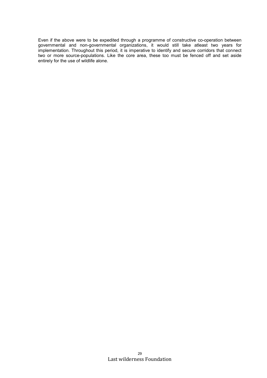Even if the above were to be expedited through a programme of constructive co-operation between governmental and non-governmental organizations, it would still take atleast two years for implementation. Throughout this period, it is imperative to identify and secure corridors that connect two or more source-populations. Like the core area, these too must be fenced off and set aside entirely for the use of wildlife alone.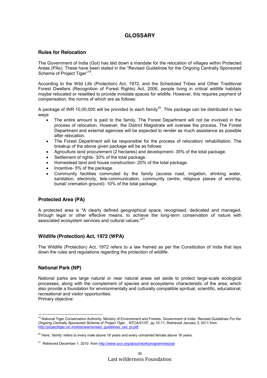# **GLOSSARY**

### **Rules for Relocation**

The Government of India (GoI) has laid down a mandate for the relocation of villages within Protected Areas (PAs). These have been stated in the "Revised Guidelines for the Ongoing Centrally Sponsored Scheme of Project Tiger"<sup>19</sup>.

According to the Wild Life (Protection) Act, 1972, and the Scheduled Tribes and Other Traditional Forest Dwellers (Recognition of Forest Rights) Act, 2006, people living in critical wildlife habitats maybe relocated or resettled to provide inviolate spaces for wildlife. However, this requires payment of compensation, the norms of which are as follows:

A package of INR 10,00,000 will be provided to each family<sup>20</sup>. This package can be distributed in two ways:

- The entire amount is paid to the family. The Forest Department will not be involved in the process of relocation. However, the District Magistrate will oversee the process. The Forest Department and external agencies will be expected to render as much assistance as possible after relocation.
- The Forest Department will be responsible for the process of relocation/ rehabilitation. The breakup of the above given package will be as follows:
- Agriculture land procurement (2 hectares) and development- 35% of the total package.
- Settlement of rights- 30% of the total package.
- Homestead land and house construction- 20% of the total package.
- Incentive- 5% of the package.
- Community facilities commuted by the family (access road, irrigation, drinking water, sanitation, electricity, tele-communication, community centre, religious places of worship, burial/ cremation ground)- 10% of the total package.

# **Protected Area (PA)**

A protected area is "A clearly defined geographical space, recognised, dedicated and managed, through legal or other effective means, to achieve the long-term conservation of nature with associated ecosystem services and cultural values."<sup>21</sup>

### **Wildlife (Protection) Act, 1972 (WPA)**

The Wildlife (Protection) Act, 1972 refers to a law framed as per the Constitution of India that lays down the rules and regulations regarding the protection of wildlife.

# **National Park (NP)**

National parks are large natural or near natural areas set aside to protect large-scale ecological processes, along with the complement of species and ecosystems characteristic of the area, which also provide a foundation for environmentally and culturally compatible spiritual, scientific, educational, recreational and visitor opportunities.

Primary objective:

<sup>19</sup> National Tiger Conservation Authority, Ministry of Environment and Forests, Government of India: *Revised Guidelines For the Ongoing Centrally Sponsored Scheme of Project Tiger*, , NTCA/01/07, pp.10-11, Retrieved January 3, 2011 from [http://projecttiger.nic.in/whtsnew/revised\\_guidelines\\_css\\_pt.pdf](http://projecttiger.nic.in/whtsnew/revised_guidelines_css_pt.pdf)

 $20$  Here, 'family' refers to every male above 18 years and every unmarried female above 18 years.

<sup>&</sup>lt;sup>21</sup> Retrieved December 1, 2010 from<http://www.iucn.org/about/work/programmes/pa/>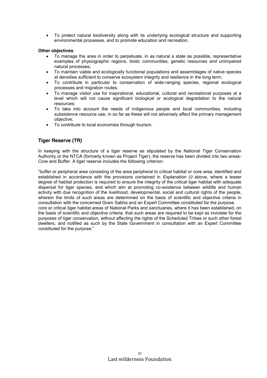To protect natural biodiversity along with its underlying ecological structure and supporting environmental processes, and to promote education and recreation.

### **Other objectives**:

- To manage the area in order to perpetuate, in as natural a state as possible, representative examples of physiographic regions, biotic communities, genetic resources and unimpaired natural processes;
- To maintain viable and ecologically functional populations and assemblages of native species at densities sufficient to conserve ecosystem integrity and resilience in the long term;
- To contribute in particular to conservation of wide-ranging species, regional ecological processes and migration routes;
- To manage visitor use for inspirational, educational, cultural and recreational purposes at a level which will not cause significant biological or ecological degradation to the natural resources;
- To take into account the needs of indigenous people and local communities, including subsistence resource use, in so far as these will not adversely affect the primary management objective;
- To contribute to local economies through tourism.

# **Tiger Reserve (TR)**

In keeping with the structure of a tiger reserve as stipulated by the National Tiger Conservation Authority or the NTCA (formerly known as Project Tiger), the reserve has been divided into two areas-Core and Buffer. A tiger reserve includes the following criterion:

"buffer or peripheral area consisting of the area peripheral to critical habitat or core area, identified and established in accordance with the provisions contained in *Explanation (i)* above, where a lesser degree of habitat protection is required to ensure the integrity of the critical tiger habitat with adequate dispersal for tiger species, and which aim at promoting co-existence between wildlife and human activity with due recognition of the livelihood, developmental, social and cultural rights of the people, wherein the limits of such areas are determined on the basis of scientific and objective criteria in consultation with the concerned Gram Sabha and an Expert Committee constituted for the purpose. core or critical tiger habitat areas of National Parks and sanctuaries, where it has been established, on the basis of scientific and objective criteria, that such areas are required to be kept as inviolate for the purposes of tiger conservation, without affecting the rights of the Scheduled Tribes or such other forest dwellers, and notified as such by the State Government in consultation with an Expert Committee constituted for the purpose."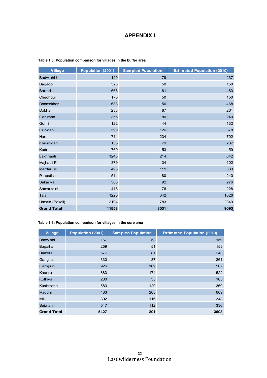# **APPENDIX I**

| <b>Village</b>     | Population (2001) | <b>Sampled Population</b> | <b>Estimated Population (2010)</b> |
|--------------------|-------------------|---------------------------|------------------------------------|
| Badw ahi K         | 120               | 79                        | 237                                |
| Bagado             | 323               | 50                        | 150                                |
| <b>Bartari</b>     | 663               | 161                       | 483                                |
| Chechpur           | 170               | 50                        | 150                                |
| Dhamokhar          | 683               | 156                       | 468                                |
| Dobha              | 238               | 87                        | 261                                |
| Ganjraha           | 355               | 80                        | 240                                |
| Gohri              | 122               | 44                        | 132                                |
| Gurw ahi           | 590               | 126                       | 378                                |
| Hardi              | 714               | 234                       | 702                                |
| Khusrw ah          | 135               | 79                        | 237                                |
| Kudri              | 769               | 153                       | 459                                |
| Lakhnauti          | 1243              | 214                       | 642                                |
| Majhauli P         | 379               | 34                        | 102                                |
| Mardari M          | 493               | 111                       | 333                                |
| Panpatha           | 514               | 80                        | 240                                |
| Sakariya           | 305               | 92                        | 276                                |
| Samarkoini         | 413               | 76                        | 228                                |
| Tala               | 1220              | 342                       | 1026                               |
| Umaria (Bakeli)    | 2104              | 783                       | 2349                               |
| <b>Grand Total</b> | 11553             | 3031                      | 9093                               |

### **Table 1.5: Population comparison for villages in the buffer area**

### **Table 1.6: Population comparison for villages in the core area**

| Village            | Population (2001) | <b>Sampled Population</b> | <b>Estimated Population (2010)</b> |
|--------------------|-------------------|---------------------------|------------------------------------|
| Badw ahi           | 167               | 53                        | 159                                |
| Bagaiha            | 259               | 51                        | 153                                |
| <b>Bamera</b>      | 577               | 81                        | 243                                |
| Gangital           | 330               | 87                        | 261                                |
| Garhpuri           | 926               | 169                       | 507                                |
| Kaseru             | 883               | 174                       | 522                                |
| Kothiya            | 280               | 35                        | 105                                |
| Kushmaha           | 583               | 120                       | 360                                |
| Magdhi             | 483               | 203                       | 609                                |
| <b>Milli</b>       | 392               | 116                       | 348                                |
| Sejw ahi           | 547               | 112                       | 336                                |
| <b>Grand Total</b> | 5427              | 1201                      | 3603                               |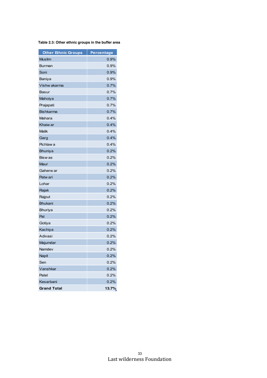**Table 2.3: Other ethnic groups in the buffer area**

| <b>Other Ethnic Groups</b> | <b>Percentage</b> |
|----------------------------|-------------------|
| <b>Muslim</b>              | 0.9%              |
| Burman                     | $0.9\%$           |
| Soni                       | 0.9%              |
| Baniya                     | 0.9%              |
| Vishw akarma               | 0.7%              |
| <b>Basur</b>               | 0.7%              |
| Mahoiya                    | 0.7%              |
| Prajapati                  | 0.7%              |
| <b>Bishkarma</b>           | 0.7%              |
| Mahara                     | 0.4%              |
| Khaiw ar                   | 0.4%              |
| <b>Malik</b>               | 0.4%              |
| Garg                       | 0.4%              |
| Pichlaw a                  | 0.4%              |
| Bhuniya                    | 0.2%              |
| Bisw as                    | 0.2%              |
| Maur                       | 0.2%              |
| Gaherw ar                  | 0.2%              |
| Patw ari                   | 0.2%              |
| Lohar                      | 0.2%              |
| Rajak                      | 0.2%              |
| Rajput                     | 0.2%              |
| <b>Bhukani</b>             | 0.2%              |
| <b>Bhuriya</b>             | 0.2%              |
| Pal                        | 0.2%              |
| Gotiya                     | 0.2%              |
| Kachiya                    | 0.2%              |
| Adivasi                    | 0.2%              |
| Majumdar                   | 0.2%              |
| Namdev                     | 0.2%              |
| <b>Napit</b>               | 0.2%              |
| Sen                        | 0.2%              |
| Vanshkar                   | 0.2%              |
| Patel                      | 0.2%              |
| Kesarbani                  | 0.2%              |
| <b>Grand Total</b>         | 13.7%             |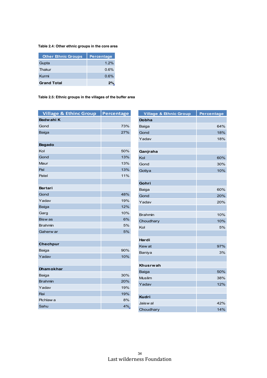### **Table 2.4: Other ethnic groups in the core area**

| <b>Other Ethnic Groups</b> | <b>Percentage</b> |
|----------------------------|-------------------|
| Gupta                      | 1.2%              |
| Thakur                     | 0.6%              |
| Kurmi                      | 0.6%              |
| <b>Grand Total</b>         | 2%                |

### **Table 2.5: Ethnic groups in the villages of the buffer area**

| <b>Village &amp; Ethinc Group</b> | <b>Percentage</b> |
|-----------------------------------|-------------------|
| <b>Badwahi K</b>                  |                   |
| Gond                              | 73%               |
| <b>Baiga</b>                      | 27%               |
|                                   |                   |
| <b>Bagado</b>                     |                   |
| Kol                               | 50%               |
| Gond                              | 13%               |
| Maur                              | 13%               |
| Pal                               | 13%               |
| Patel                             | 11%               |
|                                   |                   |
| <b>Bartari</b>                    |                   |
| Gond                              | 48%               |
| Yadav                             | 19%               |
| <b>Baiga</b>                      | 12%               |
| Garg                              | 10%               |
| <b>Biswas</b>                     | 6%                |
| <b>Brahmin</b>                    | 5%                |
| Gaherw ar                         | 5%                |
|                                   |                   |
| <b>Chechpur</b>                   |                   |
| Baiga                             | 90%               |
| Yadav                             | 10%               |
|                                   |                   |
| <b>Dhamokhar</b>                  |                   |
| Baiga                             | 30%               |
| <b>Brahmin</b>                    | 20%               |
| Yadav                             | 19%               |
| Rai                               | 19%               |
| Pichlaw a                         | 8%                |
| Sahu                              | 4%                |

| <b>Village &amp; Ethnic Group</b> | Percentage |
|-----------------------------------|------------|
| <b>Dobha</b>                      |            |
| Baiga                             | 64%        |
| Gond                              | 18%        |
| Yadav                             | 18%        |
|                                   |            |
| Ganjraha                          |            |
| Kol                               | 60%        |
| Gond                              | 30%        |
| Gotiya                            | 10%        |
|                                   |            |
| Gohri                             |            |
| Baiga                             | 60%        |
| Gond                              | 20%        |
| Yadav                             | 20%        |
|                                   |            |
| <b>Brahmin</b>                    | 10%        |
| Choudhary                         | 10%        |
| Kol                               | 5%         |
|                                   |            |
| Hardi                             |            |
| Kew at                            | 97%        |
| Baniya                            | 3%         |
|                                   |            |
| Khusrwah                          |            |
| <b>Baiga</b>                      | 50%        |
| <b>Muslim</b>                     | 38%        |
| Yadav                             | 12%        |
|                                   |            |
| <b>Kudri</b>                      |            |
| Jaisw al                          | 42%        |
| Choudhary                         | 14%        |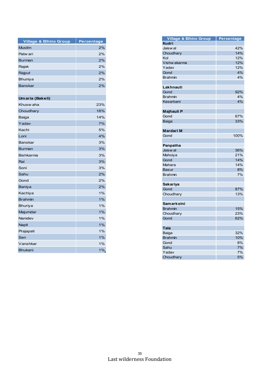| <b>Village &amp; Ethinc Group</b> | <b>Percentage</b> |
|-----------------------------------|-------------------|
| <b>Muslim</b>                     | 2%                |
| Patw ari                          | 2%                |
| <b>Burman</b>                     | 2%                |
| Rajak                             | 2%                |
| Rajput                            | 2%                |
| Bhuniya                           | 2%                |
| <b>Banskar</b>                    | 2%                |
|                                   |                   |
| Umaria (Bakeli)                   |                   |
| Khusw aha                         | 23%               |
| Choudhary                         | 16%               |
| Baiga                             | 14%               |
| Yadav                             | 7%                |
| Kachi                             | 5%                |
| Loni                              | 4%                |
| <b>Banskar</b>                    | 3%                |
| <b>Burman</b>                     | 3%                |
| <b>Bishkarma</b>                  | 3%                |
| Rai                               | 3%                |
| Soni                              | 3%                |
| Sahu                              | 2%                |
| Gond                              | 2%                |
| Baniya                            | 2%                |
| Kachiya                           | 1%                |
| <b>Brahmin</b>                    | 1%                |
| Bhuriya                           | 1%                |
| Majumdar                          | 1%                |
| Namdev                            | 1%                |
| Napit                             | 1%                |
| Prajapati                         | 1%                |
| Sen                               | 1%                |
| Vanshkar                          | 1%                |
| <b>Bhukani</b>                    | 1%                |

| <b>Village &amp; Ethinc Group</b> | Percentage |
|-----------------------------------|------------|
| <b>Kudri</b>                      |            |
| Jaisw al                          | 42%        |
| Choudhary                         | 14%        |
| Kol                               | 12%        |
| Vishw akarma                      | 12%        |
| Yadav                             | 12%        |
| Gond                              | 4%         |
| Brahmin                           | 4%         |
|                                   |            |
| Lakhnauti                         |            |
| Gond                              | 92%        |
| Brahmin                           | 4%         |
| Kesarbani                         | 4%         |
|                                   |            |
| Majhauli P                        |            |
| Gond                              | 67%        |
| Baiga                             | 33%        |
|                                   |            |
| Mardari M                         |            |
| Gond                              | 100%       |
|                                   |            |
| Panpatha                          |            |
| Jaisw al                          | 36%        |
| Mahoiya                           | 21%        |
| Gond                              | 14%        |
| Mahara                            | 14%        |
| Basur                             | 8%         |
| Brahmin                           | 7%         |
|                                   |            |
|                                   |            |
| Sakariya                          |            |
| Gond                              | 87%        |
| Choudhary                         | 13%        |
|                                   |            |
| Samarkoini                        |            |
| <b>Brahmin</b>                    | 15%        |
| Choudhary                         | 23%        |
| Gond                              | 62%        |
|                                   |            |
| Tala                              |            |
| Baiga                             | 32%        |
| <b>Brahmin</b>                    | 10%        |
| Gond                              | 8%         |
| Sahu                              | 7%         |
| Yadav                             | 7%         |
| Choudhary                         | 5%         |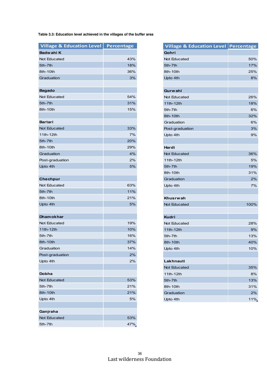### **Table 3.3: Education level achieved in the villages of the buffer area**

| <b>Village &amp; Education Level</b> | <b>Percentage</b> |
|--------------------------------------|-------------------|
| <b>Badwahi K</b>                     |                   |
| <b>Not Educated</b>                  | 43%               |
| 5th-7th                              | 18%               |
| 8th-10th                             | 36%               |
| Graduation                           | 3%                |
|                                      |                   |
| <b>Bagado</b>                        |                   |
| Not Educated                         | 54%               |
| 5th-7th                              | 31%               |
| 8th-10th                             | 15%               |
|                                      |                   |
| <b>Bartari</b>                       |                   |
| <b>Not Educated</b>                  | 33%               |
| 11th-12th                            | 7%                |
| 5th-7th                              | 20%               |
| 8th-10th                             | 29%               |
| Graduation                           | 4%                |
| Post-graduation                      | 2%                |
| Upto 4th                             | 5%                |
|                                      |                   |
| <b>Chechpur</b>                      |                   |
| <b>Not Educated</b>                  | 63%               |
| 5th-7th                              | 11%               |
| 8th-10th                             | 21%               |
| Upto 4th                             | 5%                |
|                                      |                   |
| <b>Dhamokhar</b>                     |                   |
| Not Educated                         | 19%               |
| 11th-12th                            | 10%               |
| 5th-7th                              | 16%               |
| 8th-10th                             | 37%               |
| Graduation                           | 14%               |
| Post-graduation                      | 2%                |
| Upto 4th                             | 2%                |
|                                      |                   |
| Dobha                                |                   |
| <b>Not Educated</b>                  | 53%               |
| 5th-7th                              | 21%               |
| 8th-10th                             | 21%               |
| Upto 4th                             | 5%                |
|                                      |                   |
| Ganjraha                             |                   |
| <b>Not Educated</b>                  | 53%               |
| 5th-7th                              | 47%               |

| Village & Education Level   Percentage |      |
|----------------------------------------|------|
| Gohri                                  |      |
| Not Educated                           | 50%  |
| 5th-7th                                | 17%  |
| 8th-10th                               | 25%  |
| Upto 4th                               | 8%   |
|                                        |      |
| <b>Gurwahi</b>                         |      |
| <b>Not Educated</b>                    | 26%  |
| 11th-12th                              | 18%  |
| 5th-7th                                | 6%   |
| 8th-10th                               | 32%  |
| Graduation                             | 6%   |
| Post-graduation                        | 3%   |
| Upto 4th                               | 9%   |
|                                        |      |
| Hardi                                  |      |
| <b>Not Educated</b>                    | 36%  |
| 11th-12th                              | 5%   |
| 5th-7th                                | 19%  |
| 8th-10th                               | 31%  |
| Graduation                             | 2%   |
| Upto 4th                               | 7%   |
|                                        |      |
| Khusrwah                               |      |
| <b>Not Educated</b>                    | 100% |
|                                        |      |
| <b>Kudri</b>                           |      |
| Not Educated                           | 28%  |
| 11th-12th                              | 9%   |
| 5th-7th                                | 13%  |
| 8th-10th                               | 40%  |
| Upto 4th                               | 10%  |
|                                        |      |
| Lakhnauti                              |      |
| <b>Not Educated</b>                    | 35%  |
| 11th-12th                              | 8%   |
| 5th-7th                                | 13%  |
| 8th-10th                               | 31%  |
| Graduation                             | 2%   |
| Upto 4th                               | 11%  |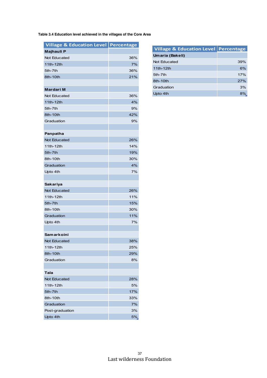**Table 3.4 Education level achieved in the villages of the Core Area**

| Village & Education Level Percentage |     |
|--------------------------------------|-----|
| Majhauli P                           |     |
| Not Educated                         | 36% |
| 11th-12th                            | 7%  |
| 5th-7th                              | 36% |
| 8th-10th                             | 21% |
|                                      |     |
| <b>Mardari M</b>                     |     |
| <b>Not Educated</b>                  | 36% |
| 11th-12th                            | 4%  |
| 5th-7th                              | 9%  |
| 8th-10th                             | 42% |
| Graduation                           | 9%  |
|                                      |     |
| Panpatha                             |     |
| <b>Not Educated</b>                  | 26% |
| 11th-12th                            | 14% |
| 5th-7th                              | 19% |
| 8th-10th                             | 30% |
| Graduation                           | 4%  |
| Upto 4th                             | 7%  |
|                                      |     |
| <b>Sakariya</b>                      |     |
| <b>Not Educated</b>                  | 26% |
| 11th-12th                            | 11% |
| 5th-7th                              | 15% |
| 8th-10th                             | 30% |
| Graduation                           | 11% |
| Upto 4th                             | 7%  |
|                                      |     |
| Samarkoini                           |     |
| Not Educated                         | 38% |
| 11th-12th                            | 25% |
| 8th-10th                             | 29% |
| Graduation                           | 8%  |
|                                      |     |
| Tala                                 |     |
| <b>Not Educated</b>                  | 28% |
| 11th-12th                            | 5%  |
| 5th-7th                              | 17% |
| 8th-10th                             | 33% |
| Graduation                           | 7%  |
| Post-graduation                      | 3%  |
| Upto 4th                             | 5%  |

| <b>Village &amp; Education Level Percentage</b> |     |
|-------------------------------------------------|-----|
| Umaria (Bakeli)                                 |     |
| Not Educated                                    | 39% |
| 11th-12th                                       | 6%  |
| 5th-7th                                         | 17% |
| 8th-10th                                        | 27% |
| Graduation                                      | 3%  |
| Upto 4th                                        | 8%  |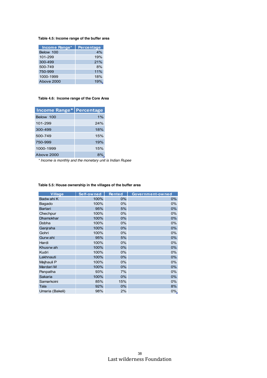### **Table 4.5: Income range of the buffer area**

| Income Range* | <b>Percentage</b> |
|---------------|-------------------|
| Below 100     | 4%                |
| 101-299       | 19%               |
| 300-499       | 21%               |
| 500-749       | 8%                |
| 750-999       | 11%               |
| 1000-1999     | 18%               |
| Above 2000    | 19%               |

#### **Table 4.6: Income range of the Core Area**

| <b>Income Range* Percentage</b> |     |
|---------------------------------|-----|
| Below 100                       | 1%  |
| 101-299                         | 24% |
| 300-499                         | 18% |
| 500-749                         | 15% |
| 750-999                         | 19% |
| 1000-1999                       | 15% |
| Above 2000                      | 8%  |

*\* Income is monthly and the monetary unit is Indian Rupee*

| <b>Village</b>  | Self-owned | <b>Rented</b> | Government-owned |
|-----------------|------------|---------------|------------------|
| Badw ahi K      | 100%       | $0\%$         | 0%               |
| Bagado          | 100%       | 0%            | 0%               |
| <b>Bartari</b>  | 95%        | 5%            | 0%               |
| Chechpur        | 100%       | 0%            | 0%               |
| Dhamokhar       | 100%       | $0\%$         | 0%               |
| Dobha           | 100%       | $0\%$         | 0%               |
| Ganjraha        | 100%       | $0\%$         | 0%               |
| Gohri           | 100%       | 0%            | 0%               |
| Gurw ahi        | 95%        | 5%            | 0%               |
| Hardi           | 100%       | 0%            | 0%               |
| Khusrw ah       | 100%       | 0%            | 0%               |
| Kudri           | 100%       | 0%            | 0%               |
| Lakhnauti       | 100%       | $0\%$         | 0%               |
| Majhauli P      | 100%       | 0%            | 0%               |
| Mardari M       | 100%       | 0%            | 0%               |
| Panpatha        | 93%        | 7%            | 0%               |
| Sakaria         | 100%       | 0%            | 0%               |
| Samarkoini      | 85%        | 15%           | 0%               |
| Tala            | 92%        | 0%            | 8%               |
| Umaria (Bakeli) | 98%        | 2%            | 0%               |

#### **Table 5.5: House ownership in the villages of the buffer area**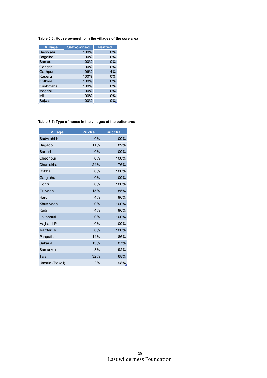### **Table 5.6: House ownership in the villages of the core area**

| Village       | Self-owned | <b>Rented</b> |
|---------------|------------|---------------|
| Badw ahi      | 100%       | $0\%$         |
| Bagaiha       | 100%       | 0%            |
| <b>Bamera</b> | 100%       | 0%            |
| Gangital      | 100%       | 0%            |
| Garhpuri      | 96%        | 4%            |
| Kaseru        | 100%       | 0%            |
| Kothiya       | 100%       | 0%            |
| Kushmaha      | 100%       | 0%            |
| Magdhi        | 100%       | 0%            |
| Milli         | 100%       | 0%            |
| Sejw ahi      | 100%       | $0\%$         |

### **Table 5.7: Type of house in the villages of the buffer area**

| <b>Village</b>   | <b>Pukka</b> | <b>Kuccha</b> |
|------------------|--------------|---------------|
| Badw ahi K       | 0%           | 100%          |
| Bagado           | 11%          | 89%           |
| <b>Bartari</b>   | 0%           | 100%          |
| Chechpur         | 0%           | 100%          |
| <b>Dhamokhar</b> | 24%          | 76%           |
| Dobha            | 0%           | 100%          |
| Ganjraha         | 0%           | 100%          |
| Gohri            | 0%           | 100%          |
| Gurw ahi         | 15%          | 85%           |
| Hardi            | 4%           | 96%           |
| Khusrw ah        | 0%           | 100%          |
| Kudri            | 4%           | 96%           |
| Lakhnauti        | 0%           | 100%          |
| Majhauli P       | 0%           | 100%          |
| Mardari M        | 0%           | 100%          |
| Panpatha         | 14%          | 86%           |
| Sakaria          | 13%          | 87%           |
| Samarkoini       | 8%           | 92%           |
| Tala             | 32%          | 68%           |
| Umaria (Bakeli)  | 2%           | 98%           |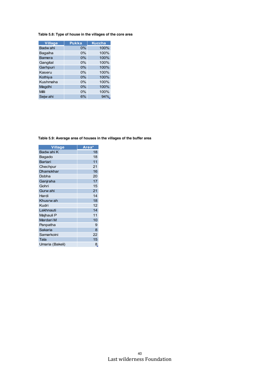### **Table 5.8: Type of house in the villages of the core area**

| Village       | <b>Pukka</b> | <b>Kuccha</b> |
|---------------|--------------|---------------|
| Badw ahi      | $0\%$        | 100%          |
| Bagaiha       | 0%           | 100%          |
| <b>Bamera</b> | 0%           | 100%          |
| Gangital      | 0%           | 100%          |
| Garhpuri      | 0%           | 100%          |
| Kaseru        | 0%           | 100%          |
| Kothiya       | 0%           | 100%          |
| Kushmaha      | 0%           | 100%          |
| Magdhi        | 0%           | 100%          |
| Milli         | 0%           | 100%          |
| Sejw ahi      | 6%           | 94%.          |

**Table 5.9: Average area of houses in the villages of the buffer area**

| <b>Village</b>  | Area* |
|-----------------|-------|
| Badw ahi K      | 18    |
| Bagado          | 18    |
| <b>Bartari</b>  | 11    |
| Chechpur        | 21    |
| Dhamokhar       | 16    |
| Dobha           | 20    |
| Ganjraha        | 17    |
| Gohri           | 15    |
| Gurw ahi        | 21    |
| Hardi           | 14    |
| Khusrw ah       | 18    |
| Kudri           | 12    |
| Lakhnauti       | 14    |
| Majhauli P      | 11    |
| Mardari M       | 10    |
| Panpatha        | 9     |
| Sakaria         | 8     |
| Samarkoini      | 22    |
| Tala            | 15    |
| Umaria (Bakeli) | 8     |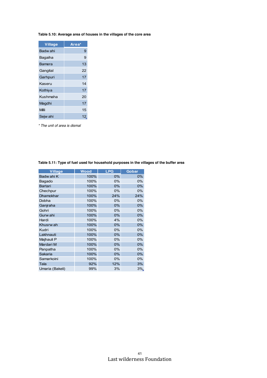### **Table 5.10: Average area of houses in the villages of the core area**

| <b>Village</b> | Area* |
|----------------|-------|
| Badw ahi       | 9     |
| Bagaiha        | 9     |
| Bamera         | 13    |
| Gangital       | 22    |
| Garhpuri       | 17    |
| Kaseru         | 14    |
| Kothiya        | 17    |
| Kushmaha       | 20    |
| Magdhi         | 17    |
| Milli          | 15    |
| Sejw ahi       | 12.   |

*\* The unit of area is dismal*

| <b>Village</b>  | Wood | <b>LPG</b> | Gobar |
|-----------------|------|------------|-------|
| Badw ahi K      | 100% | $0\%$      | $0\%$ |
| Bagado          | 100% | 0%         | 0%    |
| <b>Bartari</b>  | 100% | 0%         | 0%    |
| Chechpur        | 100% | 0%         | 0%    |
| Dhamokhar       | 100% | 24%        | 24%   |
| Dobha           | 100% | 0%         | 0%    |
| Ganjraha        | 100% | $0\%$      | $0\%$ |
| Gohri           | 100% | 0%         | 0%    |
| Gurw ahi        | 100% | 0%         | 0%    |
| Hardi           | 100% | 4%         | 0%    |
| Khusrw ah       | 100% | 0%         | 0%    |
| Kudri           | 100% | 0%         | 0%    |
| Lakhnauti       | 100% | 0%         | 0%    |
| Majhauli P      | 100% | 0%         | 0%    |
| Mardari M       | 100% | 0%         | 0%    |
| Panpatha        | 100% | 0%         | 0%    |
| Sakaria         | 100% | $0\%$      | $0\%$ |
| Samarkoini      | 100% | 0%         | 0%    |
| Tala            | 92%  | 12%        | 3%    |
| Umaria (Bakeli) | 99%  | 3%         | 3%    |

**Table 5.11: Type of fuel used for household purposes in the villages of the buffer area**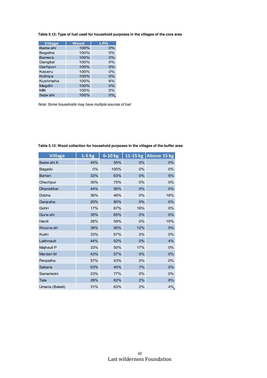| Table 5.12: Type of fuel used for household purposes in the villages of the core area |  |  |
|---------------------------------------------------------------------------------------|--|--|
|---------------------------------------------------------------------------------------|--|--|

| Village       | <b>Wood</b> | <b>LPG</b> |
|---------------|-------------|------------|
| Badw ahi      | 100%        | 0%         |
| Bagaiha       | 100%        | 0%         |
| <b>Bamera</b> | 100%        | 0%         |
| Gangital      | 100%        | 0%         |
| Garhpuri      | 100%        | 0%         |
| Kaseru        | 100%        | 0%         |
| Kothiya       | 100%        | 0%         |
| Kushmaha      | 100%        | 6%         |
| Magdhi        | 100%        | 0%         |
| Milli         | 100%        | 0%         |
| Sejw ahi      | 100%        | $0\%$ .    |

*Note: Some households may have multiple sources of fuel*

| <b>Village</b>   | $1-5$ kg | 6-10 kg |       | 11-15 kg   Above 15 kg |
|------------------|----------|---------|-------|------------------------|
| Badw ahi K       | 45%      | 55%     | $0\%$ | 0%                     |
| Bagado           | 0%       | 100%    | 0%    | 0%                     |
| <b>Bartari</b>   | 32%      | 63%     | 0%    | 5%                     |
| Chechpur         | 30%      | 70%     | 0%    | 0%                     |
| <b>Dhamokhar</b> | 44%      | 56%     | 0%    | 0%                     |
| Dobha            | 36%      | 46%     | 0%    | 18%                    |
| Ganjraha         | 20%      | 80%     | $0\%$ | 0%                     |
| Gohri            | 17%      | 67%     | 16%   | 0%                     |
| Gurw ahi         | 35%      | 65%     | 0%    | 0%                     |
| Hardi            | 26%      | 59%     | 0%    | 15%                    |
| Khusrw ah        | 38%      | 50%     | 12%   | 0%                     |
| Kudri            | 33%      | 67%     | 0%    | 0%                     |
| Lakhnauti        | 44%      | 52%     | $0\%$ | 4%                     |
| Majhauli P       | 33%      | 50%     | 17%   | 0%                     |
| Mardari M        | 43%      | 57%     | 0%    | 0%                     |
| Panpatha         | 57%      | 43%     | 0%    | 0%                     |
| Sakaria          | 53%      | 40%     | 7%    | $0\%$                  |
| Samarkoini       | 23%      | 77%     | 0%    | 0%                     |
| Tala             | 28%      | 62%     | 2%    | 8%                     |
| Umaria (Bakeli)  | 31%      | 63%     | 2%    | 4%                     |

**Table 5.13: Wood collection for household purposes in the villages of the buffer area**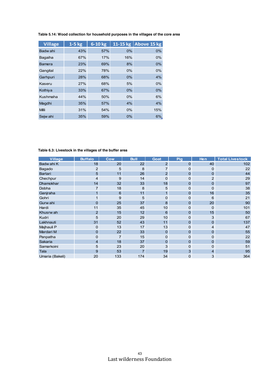| <b>Village</b> | $1-5$ kg | 6-10 kg |       | 11-15 kg Above 15 kg |
|----------------|----------|---------|-------|----------------------|
| Badw ahi       | 43%      | 57%     | $0\%$ | 0%                   |
| Bagaiha        | 67%      | 17%     | 16%   | $0\%$                |
| <b>Bamera</b>  | 23%      | 69%     | 8%    | 0%                   |
| Gangital       | 22%      | 78%     | 0%    | 0%                   |
| Garhpuri       | 28%      | 68%     | $0\%$ | 4%                   |
| Kaseru         | 27%      | 68%     | 5%    | 0%                   |
| Kothiya        | 33%      | 67%     | $0\%$ | 0%                   |
| Kushmaha       | 44%      | 50%     | 0%    | 6%                   |
| Magdhi         | 35%      | 57%     | 4%    | 4%                   |
| Milli          | 31%      | 54%     | 0%    | 15%                  |
| Sejw ahi       | 35%      | 59%     | $0\%$ | 6%                   |

**Table 5.14: Wood collection for household purposes in the villages of the core area**

**Table 6.3: Livestock in the villages of the buffer area**

| Village          | <b>Buffalo</b> | Cow | <b>Bull</b>    | Goat           | <b>Pig</b>     | Hen            | <b>Total Livestock</b> |
|------------------|----------------|-----|----------------|----------------|----------------|----------------|------------------------|
| Badw ahi K       | 18             | 20  | 22             | $\overline{2}$ | 0              | 40             | 102                    |
| Bagado           | $\overline{c}$ | 5   | 8              | 7              | 0              | $\mathbf 0$    | 22                     |
| <b>Bartari</b>   | 5              | 11  | 26             | $\overline{2}$ | 0              | 0              | 44                     |
| Chechpur         | 4              | 9   | 14             | 0              | 0              | $\overline{2}$ | 29                     |
| <b>Dhamokhar</b> | 14             | 32  | 33             | 18             | $\overline{0}$ | 0              | 97                     |
| Dobha            | $\overline{7}$ | 18  | 8              | 5              | 0              | $\mathbf 0$    | 38                     |
| Ganjraha         | $\mathbf{1}$   | 6   | 11             |                | 0              | 16             | 35                     |
| Gohri            | $\mathbf{1}$   | 9   | 5              | 0              | 0              | 6              | 21                     |
| Gurw ahi         | 0              | 25  | 37             | 8              | $\overline{0}$ | 20             | 90                     |
| Hardi            | 11             | 35  | 45             | 10             | 0              | $\mathbf 0$    | 101                    |
| Khusrw ah        | $\overline{2}$ | 15  | 12             | 6              | $\mathbf{0}$   | 15             | 50                     |
| Kudri            | 5              | 20  | 29             | 10             | 0              | 3              | 67                     |
| Lakhnauti        | 31             | 52  | 43             | 11             | $\overline{0}$ | $\mathbf{0}$   | 137                    |
| Majhauli P       | 0              | 13  | 17             | 13             | 0              | $\overline{4}$ | 47                     |
| Mardari M        | $\pmb{0}$      | 22  | 33             | $\overline{0}$ | $\mathbf{0}$   | 0              | 55                     |
| Panpatha         | 0              | 7   | 15             | 0              | 0              | $\mathbf 0$    | 22                     |
| Sakaria          | $\overline{4}$ | 18  | 37             | $\mathbf 0$    | $\overline{0}$ | $\mathbf 0$    | 59                     |
| Samarkoini       | 5              | 23  | 20             | 3              | 0              | $\mathbf 0$    | 51                     |
| Tala             | 9              | 53  | $\overline{7}$ | 19             | 3              | 4              | 95                     |
| Umaria (Bakeli)  | 20             | 133 | 174            | 34             | 0              | 3              | 364                    |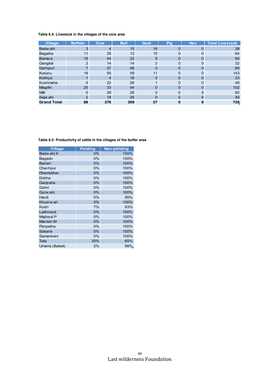### **Table 6.4: Livestock in the villages of the core area**

| <b>Village</b>     | <b>Buffalo</b> | Cow            | <b>Bull</b> | Goat           | Pig | Hen | <b>Total Livestock</b> |
|--------------------|----------------|----------------|-------------|----------------|-----|-----|------------------------|
| Badw ahi           | 3              | $\overline{4}$ | 15          | 16             | 0   | 0   | 38                     |
| Bagaiha            | 11             | 26             | 12          | 15             | 0   | 0   | 64                     |
| <b>Bamera</b>      | 19             | 44             | 22          | 9              | 0   | 0   | 94                     |
| Gangital           | $\overline{2}$ | 14             | 14          | $\overline{2}$ | 0   | 0   | 32                     |
| Garhpuri           | 7              | 27             | 48          | 3              | 0   | 0   | 85                     |
| Kaseru             | 18             | 55             | 59          | 11             | 0   | 0   | 143                    |
| Kothiya            |                | $\overline{4}$ | 18          | 0              | 0   | 0   | 23                     |
| Kushmaha           | 0              | 22             | 26          |                | 0   | 0   | 49                     |
| Magdhi             | 25             | 33             | 44          | 0              | 0   | 0   | 102                    |
| <b>Milli</b>       | $\Omega$       | 29             | 26          | $\Omega$       | 0   | 5   | 60                     |
| Sejw ahi           | $\overline{2}$ | 18             | 25          | 0              | 0   | 4   | 49                     |
| <b>Grand Total</b> | 88             | 276            | 309         | 57             | 0   | 9   | 739                    |

| <b>Village</b>   | Yielding | Non-yielding |
|------------------|----------|--------------|
| Badw ahi K       | 0%       | 100%         |
| Bagado           | 0%       | 100%         |
| <b>Bartari</b>   | 0%       | 100%         |
| Chechpur         | 0%       | 100%         |
| <b>Dhamokhar</b> | 0%       | 100%         |
| Dobha            | 0%       | 100%         |
| Ganjraha         | 0%       | 100%         |
| Gohri            | 0%       | 100%         |
| Gurw ahi         | $0\%$    | 100%         |
| Hardi            | 5%       | 95%          |
| Khusrw ah        | 0%       | 100%         |
| Kudri            | 7%       | 93%          |
| Lakhnauti        | 0%       | 100%         |
| Majhauli P       | 0%       | 100%         |
| Mardari M        | 0%       | 100%         |
| Panpatha         | 0%       | 100%         |
| Sakaria          | 0%       | 100%         |
| Samarkoini       | 0%       | 100%         |
| Tala             | 35%      | 65%          |
| Umaria (Bakeli)  | 2%       | 98%.         |

**Table 6.5: Productivity of cattle in the villages of the buffer area**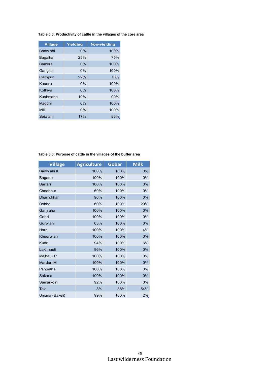### **Table 6.6: Productivity of cattle in the villages of the core area**

| Village  | Yielding | Non-yielding |
|----------|----------|--------------|
| Badw ahi | 0%       | 100%         |
| Bagaiha  | 25%      | 75%          |
| Bamera   | 0%       | 100%         |
| Gangital | $0\%$    | 100%         |
| Garhpuri | 22%      | 78%          |
| Kaseru   | $0\%$    | 100%         |
| Kothiya  | 0%       | 100%         |
| Kushmaha | 10%      | 90%          |
| Magdhi   | 0%       | 100%         |
| Milli    | $0\%$    | 100%         |
| Sejw ahi | 17%      | 83%          |

### **Table 6.6: Purpose of cattle in the villages of the buffer area**

| <b>Village</b>   | <b>Agriculture</b> | Gobar | <b>Milk</b> |
|------------------|--------------------|-------|-------------|
| Badw ahi K       | 100%               | 100%  | 0%          |
| Bagado           | 100%               | 100%  | 0%          |
| <b>Bartari</b>   | 100%               | 100%  | 0%          |
| Chechpur         | 60%                | 100%  | 0%          |
| <b>Dhamokhar</b> | 96%                | 100%  | 0%          |
| Dobha            | 60%                | 100%  | 20%         |
| Ganjraha         | 100%               | 100%  | 0%          |
| Gohri            | 100%               | 100%  | 0%          |
| Gurw ahi         | 63%                | 100%  | 0%          |
| Hardi            | 100%               | 100%  | 4%          |
| Khusrw ah        | 100%               | 100%  | 0%          |
| Kudri            | 94%                | 100%  | 6%          |
| Lakhnauti        | 96%                | 100%  | 0%          |
| Majhauli P       | 100%               | 100%  | 0%          |
| Mardari M        | 100%               | 100%  | 0%          |
| Panpatha         | 100%               | 100%  | 0%          |
| Sakaria          | 100%               | 100%  | 0%          |
| Samarkoini       | 92%                | 100%  | 0%          |
| Tala             | 8%                 | 88%   | 54%         |
| Umaria (Bakeli)  | 99%                | 100%  | 2%          |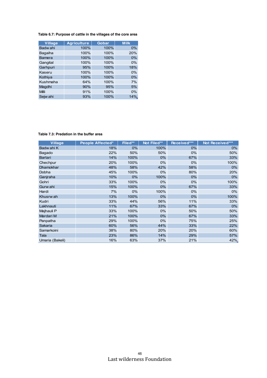### **Table 6.7: Purpose of cattle in the villages of the core area**

| <b>Village</b> | <b>Agriculture</b> | Gobar | <b>Milk</b> |
|----------------|--------------------|-------|-------------|
| Badw ahi       | 100%               | 100%  | $0\%$       |
| Bagaiha        | 100%               | 100%  | 20%         |
| <b>Bamera</b>  | 100%               | 100%  | 0%          |
| Gangital       | 100%               | 100%  | 0%          |
| Garhpuri       | 95%                | 100%  | 18%         |
| Kaseru         | 100%               | 100%  | 0%          |
| Kothiya        | 100%               | 100%  | 0%          |
| Kushmaha       | 64%                | 100%  | 7%          |
| Magdhi         | 90%                | 95%   | 5%          |
| Milli          | 91%                | 100%  | 0%          |
| Sejw ahi       | 93%                | 100%  | 14%.        |

### **Table 7.3: Predation in the buffer area**

| <b>Village</b>  | People Affected* | Filed** | Not Filed** | Received*** | Not Received*** |
|-----------------|------------------|---------|-------------|-------------|-----------------|
| Badw ahi K      | 18%              | 0%      | 100%        | $0\%$       | 0%              |
| Bagado          | 22%              | 50%     | 50%         | 0%          | 50%             |
| Bartari         | 14%              | 100%    | $0\%$       | 67%         | 33%             |
| Chechpur        | 20%              | 100%    | $0\%$       | $0\%$       | 100%            |
| Dhamokhar       | 48%              | 58%     | 42%         | 58%         | $0\%$           |
| Dobha           | 45%              | 100%    | $0\%$       | 80%         | 20%             |
| Ganjraha        | 10%              | $0\%$   | 100%        | $0\%$       | $0\%$           |
| Gohri           | 33%              | 100%    | $0\%$       | 0%          | 100%            |
| Gurw ahi        | 15%              | 100%    | 0%          | 67%         | 33%             |
| Hardi           | 7%               | 0%      | 100%        | 0%          | 0%              |
| Khusrw ah       | 13%              | 100%    | $0\%$       | $0\%$       | 100%            |
| Kudri           | 33%              | 44%     | 56%         | 11%         | 33%             |
| Lakhnauti       | 11%              | 67%     | 33%         | 67%         | 0%              |
| Majhauli P      | 33%              | 100%    | $0\%$       | 50%         | 50%             |
| Mardari M       | 21%              | 100%    | $0\%$       | 67%         | 33%             |
| Panpatha        | 29%              | 100%    | $0\%$       | 75%         | 25%             |
| Sakaria         | 60%              | 56%     | 44%         | 33%         | 22%             |
| Samarkoini      | 38%              | 80%     | 20%         | 20%         | 60%             |
| Tala            | 23%              | 86%     | 14%         | 29%         | 57%             |
| Umaria (Bakeli) | 16%              | 63%     | 37%         | 21%         | 42%             |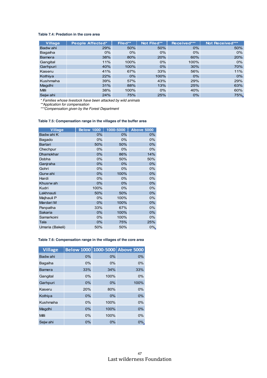#### **Table 7.4: Predation in the core area**

| Village      | People Affected* | Filed** | Not Filed** | Received*** | Not Received*** |
|--------------|------------------|---------|-------------|-------------|-----------------|
| Badw ahi     | 29%              | 50%     | 50%         | $0\%$       | 50%             |
| Bagaiha      | $0\%$            | $0\%$   | $0\%$       | $0\%$       | $0\%$           |
| Bamera       | 38%              | 80%     | 20%         | 60%         | 20%             |
| Gangital     | 11%              | 100%    | $0\%$       | 100%        | $0\%$           |
| Garhpuri     | 40%              | 100%    | $0\%$       | 30%         | 70%             |
| Kaseru       | 41%              | 67%     | 33%         | 56%         | 11%             |
| Kothiya      | 22%              | 0%      | 100%        | $0\%$       | 0%              |
| Kushmaha     | 39%              | 57%     | 43%         | 29%         | 29%             |
| Magdhi       | 31%              | 88%     | 13%         | 25%         | 63%             |
| <b>Milli</b> | 38%              | 100%    | $0\%$       | 40%         | 60%             |
| Sejw ahi     | 24%              | 75%     | 25%         | 0%          | 75%             |

*\* Families whose livestock have been attacked by wild animals*

*\*\*Application for compensation*

*\*\*\*Compensation given by the Forest Department*

#### **Table 7.5: Compensation range in the villages of the buffer area**

| <b>Village</b>   | <b>Below 1000</b> | 1000-5000 | <b>Above 5000</b> |
|------------------|-------------------|-----------|-------------------|
| Badw ahi K       | $0\%$             | 0%        | 0%                |
| Bagado           | 0%                | 0%        | 0%                |
| Bartari          | 50%               | 50%       | 0%                |
| Chechpur         | $0\%$             | 0%        | $0\%$             |
| <b>Dhamokhar</b> | 0%                | 86%       | 14%               |
| Dobha            | 0%                | 50%       | 50%               |
| Ganjraha         | 0%                | 0%        | 0%                |
| Gohri            | 0%                | 0%        | 0%                |
| Gurw ahi         | 0%                | 100%      | 0%                |
| Hardi            | 0%                | 0%        | 0%                |
| Khusrw ah        | $0\%$             | 0%        | 0%                |
| Kudri            | 100%              | 0%        | 0%                |
| Lakhnauti        | 50%               | 50%       | $0\%$             |
| Majhauli P       | 0%                | 100%      | 0%                |
| Mardari M        | 0%                | 100%      | 0%                |
| Panpatha         | 33%               | 67%       | 0%                |
| Sakaria          | $0\%$             | 100%      | 0%                |
| Samarkoini       | 0%                | 100%      | 0%                |
| Tala             | $0\%$             | 75%       | 25%               |
| Umaria (Bakeli)  | 50%               | 50%       | $0\%$             |

### **Table 7.6: Compensation range in the villages of the core area**

| <b>Village</b> |     |       | Below 1000 1000-5000 Above 5000 |
|----------------|-----|-------|---------------------------------|
| Badw ahi       | 0%  | 0%    | 0%                              |
| Bagaiha        | 0%  | $0\%$ | 0%                              |
| <b>Bamera</b>  | 33% | 34%   | 33%                             |
| Gangital       | 0%  | 100%  | 0%                              |
| Garhpuri       | 0%  | 0%    | 100%                            |
| Kaseru         | 20% | 80%   | 0%                              |
| Kothiya        | 0%  | $0\%$ | 0%                              |
| Kushmaha       | 0%  | 100%  | 0%                              |
| Magdhi         | 0%  | 100%  | 0%                              |
| Milli          | 0%  | 100%  | 0%                              |
| Sejw ahi       | 0%  | 0%    | 0%                              |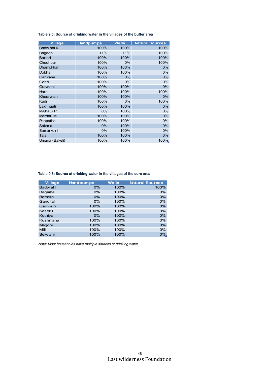**Table 9.5: Source of drinking water in the villages of the buffer area**

| <b>Village</b>   | <b>Handpumps</b> | <b>Wells</b> | <b>Natural Sources</b> |
|------------------|------------------|--------------|------------------------|
| Badw ahi K       | 100%             | 100%         | 100%                   |
| Bagado           | 11%              | 11%          | 100%                   |
| <b>Bartari</b>   | 100%             | 100%         | 100%                   |
| Chechpur         | 100%             | 0%           | 100%                   |
| <b>Dhamokhar</b> | 100%             | 100%         | 0%                     |
| Dobha            | 100%             | 100%         | 0%                     |
| Ganjraha         | 100%             | 0%           | $0\%$                  |
| Gohri            | 100%             | 0%           | 0%                     |
| Gurw ahi         | 100%             | 100%         | 0%                     |
| Hardi            | 100%             | 100%         | 100%                   |
| Khusrw ah        | 100%             | 100%         | 0%                     |
| Kudri            | 100%             | 0%           | 100%                   |
| Lakhnauti        | 100%             | 100%         | 0%                     |
| Majhauli P       | 0%               | 100%         | 0%                     |
| Mardari M        | 100%             | 100%         | $0\%$                  |
| Panpatha         | 100%             | 100%         | 0%                     |
| Sakaria          | 0%               | 100%         | 0%                     |
| Samarkoini       | 0%               | 100%         | $0\%$                  |
| Tala             | 100%             | 100%         | 0%                     |
| Umaria (Bakeli)  | 100%             | 100%         | 100%                   |

#### **Table 9.6: Source of drinking water in the villages of the core area**

| <b>Village</b> | <b>Handpumps</b> | <b>Wells</b> | <b>Natural Sources</b> |
|----------------|------------------|--------------|------------------------|
| Badw ahi       | 0%               | 100%         | 100%                   |
| Bagaiha        | 0%               | 100%         | 0%                     |
| Bamera         | 0%               | 100%         | 0%                     |
| Gangital       | 0%               | 100%         | 0%                     |
| Garhpuri       | 100%             | 100%         | 0%                     |
| Kaseru         | 100%             | 100%         | 0%                     |
| Kothiya        | 0%               | 100%         | 0%                     |
| Kushmaha       | 100%             | 100%         | 0%                     |
| Magdhi         | 100%             | 100%         | 0%                     |
| Milli          | 100%             | 100%         | 0%                     |
| Sejw ahi       | 100%             | 100%         | 0%                     |

*Note: Most households have multiple sources of drinking water*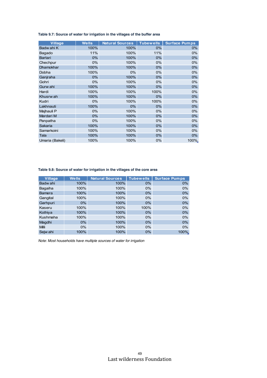**Table 9.7: Source of water for irrigation in the villages of the buffer area**

| <b>Village</b>  | <b>Wells</b> | <b>Natural Sources</b> | <b>Tubewells</b> | <b>Surface Pumps</b> |
|-----------------|--------------|------------------------|------------------|----------------------|
| Badw ahi K      | 100%         | 100%                   | $0\%$            | 0%                   |
| Bagado          | 11%          | 100%                   | 11%              | 0%                   |
| Bartari         | 0%           | 100%                   | $0\%$            | 0%                   |
| Chechpur        | 0%           | 100%                   | 0%               | 0%                   |
| Dhamokhar       | 100%         | 100%                   | 0%               | 0%                   |
| Dobha           | 100%         | 0%                     | 0%               | 0%                   |
| Ganjraha        | $0\%$        | 100%                   | $0\%$            | 0%                   |
| Gohri           | $0\%$        | 100%                   | $0\%$            | $0\%$                |
| Gurw ahi        | 100%         | 100%                   | $0\%$            | 0%                   |
| Hardi           | 100%         | 100%                   | 100%             | 0%                   |
| Khusrw ah       | 100%         | 100%                   | $0\%$            | 0%                   |
| Kudri           | 0%           | 100%                   | 100%             | 0%                   |
| Lakhnauti       | 100%         | $0\%$                  | $0\%$            | 0%                   |
| Majhauli P      | $0\%$        | 100%                   | 0%               | 0%                   |
| Mardari M       | 0%           | 100%                   | $0\%$            | 0%                   |
| Panpatha        | 0%           | 100%                   | 0%               | 0%                   |
| Sakaria         | 100%         | 100%                   | $0\%$            | 0%                   |
| Samarkoini      | 100%         | 100%                   | 0%               | 0%                   |
| Tala            | 100%         | 100%                   | $0\%$            | 0%                   |
| Umaria (Bakeli) | 100%         | 100%                   | 0%               | 100%                 |

**Table 9.8: Source of water for irrigation in the villages of the core area**

| <b>Village</b> | <b>Wells</b> | <b>Natural Sources</b> | <b>Tubewells</b> | <b>Surface Pumps</b> |
|----------------|--------------|------------------------|------------------|----------------------|
| Badw ahi       | 100%         | 100%                   | $0\%$            | 0%                   |
| Bagaiha        | 100%         | 100%                   | $0\%$            | 0%                   |
| <b>Bamera</b>  | 100%         | 100%                   | $0\%$            | 0%                   |
| Gangital       | 100%         | 100%                   | $0\%$            | 0%                   |
| Garhpuri       | $0\%$        | 100%                   | $0\%$            | 0%                   |
| Kaseru         | 100%         | 100%                   | 100%             | 0%                   |
| Kothiya        | 100%         | 100%                   | $0\%$            | 0%                   |
| Kushmaha       | 100%         | 100%                   | $0\%$            | 0%                   |
| Magdhi         | $0\%$        | 100%                   | $0\%$            | 0%                   |
| <b>Milli</b>   | $0\%$        | 100%                   | $0\%$            | 0%                   |
| Sejw ahi       | 100%         | 100%                   | $0\%$            | 100%                 |

*Note: Most households have multiple sources of water for irrigation*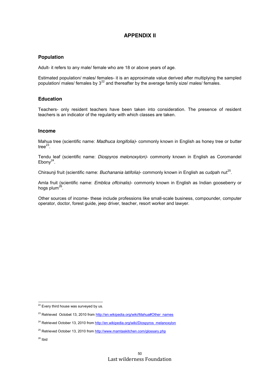# **APPENDIX II**

### **Population**

Adult- it refers to any male/ female who are 18 or above years of age.

Estimated population/ males/ females- it is an approximate value derived after multiplying the sampled population/ males/ females by 3<sup>22</sup> and thereafter by the average family size/ males/ females.

### **Education**

Teachers- only resident teachers have been taken into consideration. The presence of resident teachers is an indicator of the regularity with which classes are taken.

### **Income**

Mahua tree (scientific name: *Madhuca longifolia)*- commonly known in English as honey tree or butter tree $^{23}$ .

Tendu leaf (scientific name: *Diospyros melonoxylon)*- commonly known in English as Coromandel Ebon $v^{24}$ .

Chiraunji fruit (scientific name: *Buchanania latifolia*)- commonly known in English as cudpah nut<sup>25</sup>.

Amla fruit (scientific name: *Emblica offcinalis)*- commonly known in English as Indian gooseberry or hogs plum<sup>26</sup>.

Other sources of income- these include professions like small-scale business, compounder, computer operator, doctor, forest guide, jeep driver, teacher, resort worker and lawyer.

<sup>&</sup>lt;sup>22</sup> Every third house was surveyed by us.

<sup>&</sup>lt;sup>23</sup> Retrieved Octobet 13, 2010 fro[m http://en.wikipedia.org/wiki/Mahua#Other\\_names](http://en.wikipedia.org/wiki/Mahua#Other_names)

<sup>&</sup>lt;sup>24</sup> Retrieved October 13, 2010 fro[m http://en.wikipedia.org/wiki/Diospyros\\_melanoxylon](http://en.wikipedia.org/wiki/Diospyros_melanoxylon)

<sup>&</sup>lt;sup>25</sup> Retrieved October 13, 2010 fro[m http://www.mamtaskitchen.com/glossary.php](http://www.mamtaskitchen.com/glossary.php)

 $26$  Ibid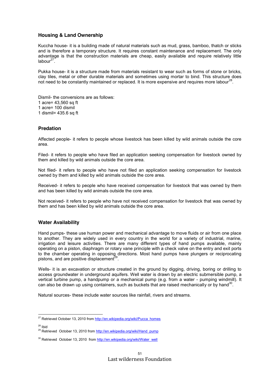### **Housing & Land Ownership**

Kuccha house- it is a building made of natural materials such as mud, grass, bamboo, thatch or sticks and is therefore a temporary structure. It requires constant maintenance and replacement. The only advantage is that the construction materials are cheap, easily available and require relatively little labour $27$ .

Pukka house- it is a structure made from materials resistant to wear such as forms of stone or bricks, clay tiles, metal or other durable materials and sometimes using mortar to bind. This structure does not need to be constantly maintained or replaced. It is more expensive and requires more labour<sup>28</sup>.

Dismil- the conversions are as follows: 1 acre= 43,560 sq ft 1 acre= 100 dismil 1 dismil= 435.6 sq ft

### **Predation**

Affected people- it refers to people whose livestock has been killed by wild animals outside the core area.

Filed- it refers to people who have filed an application seeking compensation for livestock owned by them and killed by wild animals outside the core area.

Not filed- it refers to people who have not filed an application seeking compensation for livestock owned by them and killed by wild animals outside the core area.

Received- it refers to people who have received compensation for livestock that was owned by them and has been killed by wild animals outside the core area.

Not received- it refers to people who have not received compensation for livestock that was owned by them and has been killed by wild animals outside the core area.

### **Water Availability**

Hand pumps- these use human power and mechanical advantage to move fluids or air from one place to another. They are widely used in every country in the world for a variety of industrial, marine, irrigation and leisure activities. There are many different types of hand pumps available, mainly operating on a piston, diaphragm or rotary vane principle with a check valve on the entry and exit ports to the chamber operating in opposing directions. Most hand pumps have plungers or reciprocating pistons, and are positive displacement<sup>2</sup>

Wells- it is an excavation or structure created in the ground by digging, driving, boring or drilling to access groundwater in underground aquifers. Well water is drawn by an electric submersible pump, a vertical turbine pump, a handpump or a mechanical pump (e.g. from a water - pumping windmill). It can also be drawn up using containers, such as buckets that are raised mechanically or by hand<sup>30</sup>.

Natural sources- these include water sources like rainfall, rivers and streams.

<sup>&</sup>lt;sup>27</sup> Retrieved October 13, 2010 fro[m http://en.wikipedia.org/wiki/Pucca\\_homes](http://en.wikipedia.org/wiki/Pucca_homes)

<sup>&</sup>lt;sup>28</sup> Ibid<br><sup>29</sup> Retrieved October 13, 2010 from <u>http://en.wikipedia.org/wiki/Hand\_pump</u>

<sup>&</sup>lt;sup>30</sup> Retrieved October 13, 2010 from [http://en.wikipedia.org/wiki/Water\\_well](http://en.wikipedia.org/wiki/Water_well)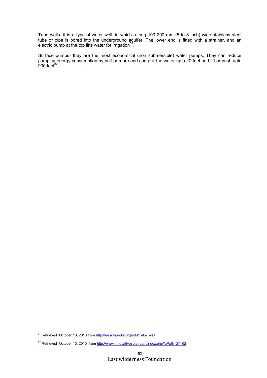Tube wells- it is a type of water well, in which a long 100-200 mm (5 to 8 inch) wide stainless steel tube or pipe is bored into the underground aquifer. The lower end is fitted with a strainer, and an electric pump at the top lifts water for irrigation $31$ .

Surface pumps- they are the most economical (non submersible) water pumps. They can reduce pumping energy consumption by half or more and can pull the water upto 20 feet and lift or push upto 900 feet $^{32}$ .

<sup>&</sup>lt;sup>31</sup> Retrieved October 13, 2010 from [http://en.wikipedia.org/wiki/Tube\\_well](http://en.wikipedia.org/wiki/Tube_well)

<sup>&</sup>lt;sup>32</sup> Retrieved October 13, 2010 from [http://www.innovativesolar.com/index.php?cPath=27\\_62](http://www.innovativesolar.com/index.php?cPath=27_62)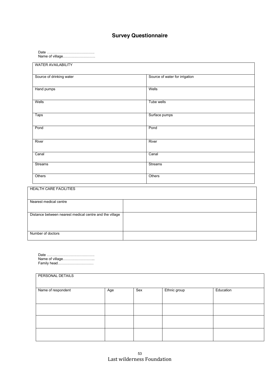# **Survey Questionnaire**

Date …………………………………. Name of village………………………

| <b>WATER AVAILABILITY</b> |                                |
|---------------------------|--------------------------------|
| Source of drinking water  | Source of water for irrigation |
| Hand pumps                | Wells                          |
| Wells                     | Tube wells                     |
| <b>Taps</b>               | Surface pumps                  |
| Pond                      | Pond                           |
| River                     | River                          |
| Canal                     | Canal                          |
| <b>Streams</b>            | Streams                        |
| Others                    | Others                         |

| HEALTH CARE FACILITIES                                  |  |
|---------------------------------------------------------|--|
| Nearest medical centre                                  |  |
|                                                         |  |
| Distance between nearest medical centre and the village |  |
|                                                         |  |
|                                                         |  |
| Number of doctors                                       |  |
|                                                         |  |

Date …………………………………. Name of village……………………... Family head…………………………

| PERSONAL DETAILS   |     |     |              |           |  |  |  |
|--------------------|-----|-----|--------------|-----------|--|--|--|
| Name of respondent | Age | Sex | Ethnic group | Education |  |  |  |
|                    |     |     |              |           |  |  |  |
|                    |     |     |              |           |  |  |  |
|                    |     |     |              |           |  |  |  |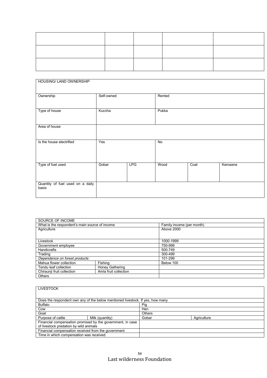| <b>HOUSING/ LAND OWNERSHIP</b>            |            |            |                |      |          |
|-------------------------------------------|------------|------------|----------------|------|----------|
| Ownership                                 | Self-owned |            | Rented         |      |          |
| Type of house                             | Kuccha     |            | Pukka          |      |          |
| Area of house                             |            |            |                |      |          |
| Is the house electrified                  | Yes        |            | $\overline{N}$ |      |          |
| Type of fuel used                         | Gobar      | <b>LPG</b> | Wood           | Coal | Kerosene |
| Quantity of fuel used on a daily<br>basis |            |            |                |      |          |
|                                           |            |            |                |      |          |

| SOURCE OF INCOME                                    |                 |                           |
|-----------------------------------------------------|-----------------|---------------------------|
| What is the respondent's main source of income      |                 | Family income (per month) |
| Agriculture                                         |                 | Above 2000                |
|                                                     |                 |                           |
|                                                     |                 |                           |
| Livestock                                           |                 | 1000-1999                 |
| Government employee                                 |                 | 750-999                   |
| <b>Handicrafts</b>                                  |                 | 500-749                   |
| Trading                                             |                 | 300-499                   |
| Dependence on forest products:                      |                 | 101-299                   |
| Mahua flower collection                             | Fishing         | Below 100                 |
| Tendu leaf collection                               | Honey Gathering |                           |
| Amla fruit collection<br>Chiraunji fruit collection |                 |                           |
| <b>Others</b>                                       |                 |                           |

| <b>LIVESTOCK</b>                                           |                                                                                |               |             |  |
|------------------------------------------------------------|--------------------------------------------------------------------------------|---------------|-------------|--|
|                                                            |                                                                                |               |             |  |
|                                                            | Does the respondent own any of the below mentioned livestock. If yes, how many |               |             |  |
| <b>Buffalo</b>                                             |                                                                                | Pig           |             |  |
| Cow                                                        |                                                                                | Hen           |             |  |
| Goat                                                       |                                                                                | <b>Others</b> |             |  |
| Purpose of cattle                                          | Milk (quantity)                                                                | Gobar         | Agriculture |  |
| Financial compensation promised by the government, in case |                                                                                |               |             |  |
| of livestock predation by wild animals                     |                                                                                |               |             |  |
| Financial compensation received from the government        |                                                                                |               |             |  |
| Time in which compensation was received                    |                                                                                |               |             |  |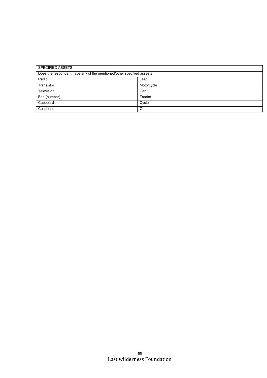| <b>SPECIFIED ASSETS</b>                                               |               |  |
|-----------------------------------------------------------------------|---------------|--|
| Does the respondent have any of the mentioned/other specified assests |               |  |
| Radio                                                                 | Jeep          |  |
| Transistor                                                            | Motorcycle    |  |
| Television                                                            | Car           |  |
| Bed (number)                                                          | Tractor       |  |
| Cupboard                                                              | Cycle         |  |
| Cellphone                                                             | <b>Others</b> |  |